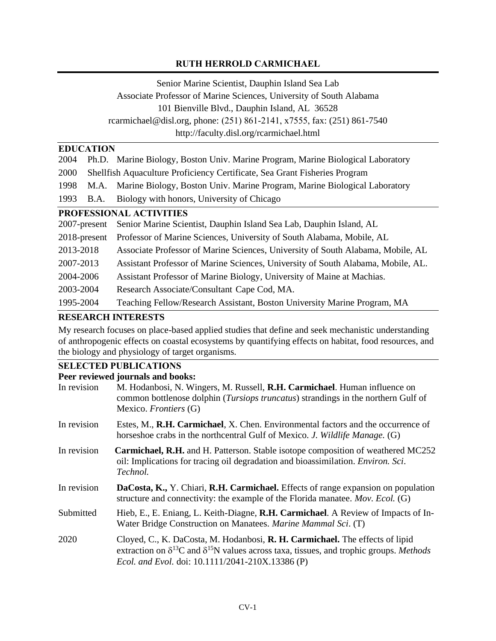### **RUTH HERROLD CARMICHAEL**

Senior Marine Scientist, Dauphin Island Sea Lab Associate Professor of Marine Sciences, University of South Alabama 101 Bienville Blvd., Dauphin Island, AL 36528 rcarmichael@disl.org, phone: (251) 861-2141, x7555, fax: (251) 861-7540 http://faculty.disl.org/rcarmichael.html

### **EDUCATION**

| 2004                           | Ph.D. Marine Biology, Boston Univ. Marine Program, Marine Biological Laboratory  |  |
|--------------------------------|----------------------------------------------------------------------------------|--|
| 2000                           | Shellfish Aquaculture Proficiency Certificate, Sea Grant Fisheries Program       |  |
| 1998                           | M.A. Marine Biology, Boston Univ. Marine Program, Marine Biological Laboratory   |  |
| 1993<br><b>B.A.</b>            | Biology with honors, University of Chicago                                       |  |
| <b>PROFESSIONAL ACTIVITIES</b> |                                                                                  |  |
| 2007-present                   | Senior Marine Scientist, Dauphin Island Sea Lab, Dauphin Island, AL              |  |
| 2018-present                   | Professor of Marine Sciences, University of South Alabama, Mobile, AL            |  |
| 2013-2018                      | Associate Professor of Marine Sciences, University of South Alabama, Mobile, AL  |  |
| 2007-2013                      | Assistant Professor of Marine Sciences, University of South Alabama, Mobile, AL. |  |
| 2004-2006                      | Assistant Professor of Marine Biology, University of Maine at Machias.           |  |
| 2003-2004                      | Research Associate/Consultant Cape Cod, MA.                                      |  |
| 1995-2004                      | Teaching Fellow/Research Assistant, Boston University Marine Program, MA         |  |

#### **RESEARCH INTERESTS**

My research focuses on place-based applied studies that define and seek mechanistic understanding of anthropogenic effects on coastal ecosystems by quantifying effects on habitat, food resources, and the biology and physiology of target organisms.

# **SELECTED PUBLICATIONS**<br>**Pear raviousd journals and has**

|             | Peer reviewed journals and books:                                                                                                                                                                                                                   |
|-------------|-----------------------------------------------------------------------------------------------------------------------------------------------------------------------------------------------------------------------------------------------------|
| In revision | M. Hodanbosi, N. Wingers, M. Russell, R.H. Carmichael. Human influence on<br>common bottlenose dolphin ( <i>Tursiops truncatus</i> ) strandings in the northern Gulf of<br>Mexico. Frontiers (G)                                                    |
| In revision | Estes, M., R.H. Carmichael, X. Chen. Environmental factors and the occurrence of<br>horseshoe crabs in the northcentral Gulf of Mexico. J. Wildlife Manage. (G)                                                                                     |
| In revision | <b>Carmichael, R.H.</b> and H. Patterson. Stable isotope composition of weathered MC252<br>oil: Implications for tracing oil degradation and bioassimilation. <i>Environ. Sci.</i><br>Technol.                                                      |
| In revision | DaCosta, K., Y. Chiari, R.H. Carmichael. Effects of range expansion on population<br>structure and connectivity: the example of the Florida manatee. Mov. Ecol. (G)                                                                                 |
| Submitted   | Hieb, E., E. Eniang, L. Keith-Diagne, R.H. Carmichael. A Review of Impacts of In-<br>Water Bridge Construction on Manatees. Marine Mammal Sci. (T)                                                                                                  |
| 2020        | Cloyed, C., K. DaCosta, M. Hodanbosi, R. H. Carmichael. The effects of lipid<br>extraction on $\delta^{13}C$ and $\delta^{15}N$ values across taxa, tissues, and trophic groups. <i>Methods</i><br>Ecol. and Evol. doi: 10.1111/2041-210X.13386 (P) |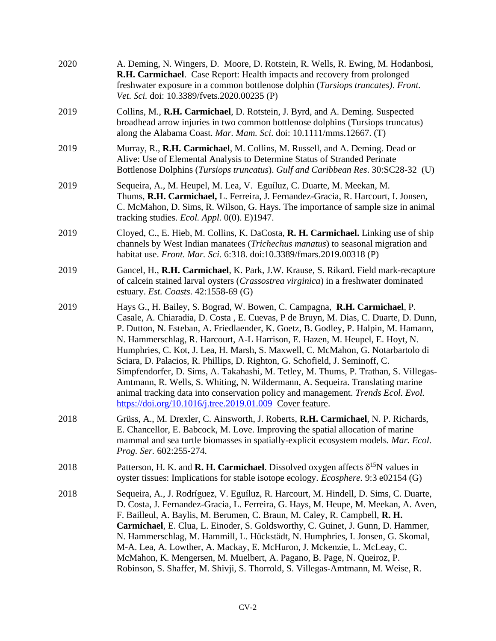| 2020 | A. Deming, N. Wingers, D. Moore, D. Rotstein, R. Wells, R. Ewing, M. Hodanbosi,<br>R.H. Carmichael. Case Report: Health impacts and recovery from prolonged<br>freshwater exposure in a common bottlenose dolphin (Tursiops truncates). Front.<br>Vet. Sci. doi: 10.3389/fvets.2020.00235 (P)                                                                                                                                                                                                                                                                                                                                                                                                                                                                                                                                     |
|------|-----------------------------------------------------------------------------------------------------------------------------------------------------------------------------------------------------------------------------------------------------------------------------------------------------------------------------------------------------------------------------------------------------------------------------------------------------------------------------------------------------------------------------------------------------------------------------------------------------------------------------------------------------------------------------------------------------------------------------------------------------------------------------------------------------------------------------------|
| 2019 | Collins, M., R.H. Carmichael, D. Rotstein, J. Byrd, and A. Deming. Suspected<br>broadhead arrow injuries in two common bottlenose dolphins (Tursiops truncatus)<br>along the Alabama Coast. Mar. Mam. Sci. doi: 10.1111/mms.12667. (T)                                                                                                                                                                                                                                                                                                                                                                                                                                                                                                                                                                                            |
| 2019 | Murray, R., R.H. Carmichael, M. Collins, M. Russell, and A. Deming. Dead or<br>Alive: Use of Elemental Analysis to Determine Status of Stranded Perinate<br>Bottlenose Dolphins (Tursiops truncatus). Gulf and Caribbean Res. 30:SC28-32 (U)                                                                                                                                                                                                                                                                                                                                                                                                                                                                                                                                                                                      |
| 2019 | Sequeira, A., M. Heupel, M. Lea, V. Eguíluz, C. Duarte, M. Meekan, M.<br>Thums, R.H. Carmichael, L. Ferreira, J. Fernandez-Gracia, R. Harcourt, I. Jonsen,<br>C. McMahon, D. Sims, R. Wilson, G. Hays. The importance of sample size in animal<br>tracking studies. Ecol. Appl. 0(0). E)1947.                                                                                                                                                                                                                                                                                                                                                                                                                                                                                                                                     |
| 2019 | Cloyed, C., E. Hieb, M. Collins, K. DaCosta, R. H. Carmichael. Linking use of ship<br>channels by West Indian manatees (Trichechus manatus) to seasonal migration and<br>habitat use. Front. Mar. Sci. 6:318. doi:10.3389/fmars.2019.00318 (P)                                                                                                                                                                                                                                                                                                                                                                                                                                                                                                                                                                                    |
| 2019 | Gancel, H., R.H. Carmichael, K. Park, J.W. Krause, S. Rikard. Field mark-recapture<br>of calcein stained larval oysters ( <i>Crassostrea virginica</i> ) in a freshwater dominated<br>estuary. Est. Coasts. 42:1558-69 (G)                                                                                                                                                                                                                                                                                                                                                                                                                                                                                                                                                                                                        |
| 2019 | Hays G., H. Bailey, S. Bograd, W. Bowen, C. Campagna, R.H. Carmichael, P.<br>Casale, A. Chiaradia, D. Costa, E. Cuevas, P de Bruyn, M. Dias, C. Duarte, D. Dunn,<br>P. Dutton, N. Esteban, A. Friedlaender, K. Goetz, B. Godley, P. Halpin, M. Hamann,<br>N. Hammerschlag, R. Harcourt, A-L Harrison, E. Hazen, M. Heupel, E. Hoyt, N.<br>Humphries, C. Kot, J. Lea, H. Marsh, S. Maxwell, C. McMahon, G. Notarbartolo di<br>Sciara, D. Palacios, R. Phillips, D. Righton, G. Schofield, J. Seminoff, C.<br>Simpfendorfer, D. Sims, A. Takahashi, M. Tetley, M. Thums, P. Trathan, S. Villegas-<br>Amtmann, R. Wells, S. Whiting, N. Wildermann, A. Sequeira. Translating marine<br>animal tracking data into conservation policy and management. Trends Ecol. Evol.<br>https://doi.org/10.1016/j.tree.2019.01.009 Cover feature. |
| 2018 | Grüss, A., M. Drexler, C. Ainsworth, J. Roberts, R.H. Carmichael, N. P. Richards,<br>E. Chancellor, E. Babcock, M. Love. Improving the spatial allocation of marine<br>mammal and sea turtle biomasses in spatially-explicit ecosystem models. Mar. Ecol.<br>Prog. Ser. 602:255-274.                                                                                                                                                                                                                                                                                                                                                                                                                                                                                                                                              |
| 2018 | Patterson, H. K. and <b>R. H. Carmichael</b> . Dissolved oxygen affects $\delta^{15}N$ values in<br>oyster tissues: Implications for stable isotope ecology. <i>Ecosphere</i> . 9:3 e02154 (G)                                                                                                                                                                                                                                                                                                                                                                                                                                                                                                                                                                                                                                    |
| 2018 | Sequeira, A., J. Rodríguez, V. Eguíluz, R. Harcourt, M. Hindell, D. Sims, C. Duarte,<br>D. Costa, J. Fernandez-Gracia, L. Ferreira, G. Hays, M. Heupe, M. Meekan, A. Aven,<br>F. Bailleul, A. Baylis, M. Berumen, C. Braun, M. Caley, R. Campbell, R. H.<br>Carmichael, E. Clua, L. Einoder, S. Goldsworthy, C. Guinet, J. Gunn, D. Hammer,<br>N. Hammerschlag, M. Hammill, L. Hückstädt, N. Humphries, I. Jonsen, G. Skomal,<br>M-A. Lea, A. Lowther, A. Mackay, E. McHuron, J. Mckenzie, L. McLeay, C.<br>McMahon, K. Mengersen, M. Muelbert, A. Pagano, B. Page, N. Queiroz, P.<br>Robinson, S. Shaffer, M. Shivji, S. Thorrold, S. Villegas-Amtmann, M. Weise, R.                                                                                                                                                             |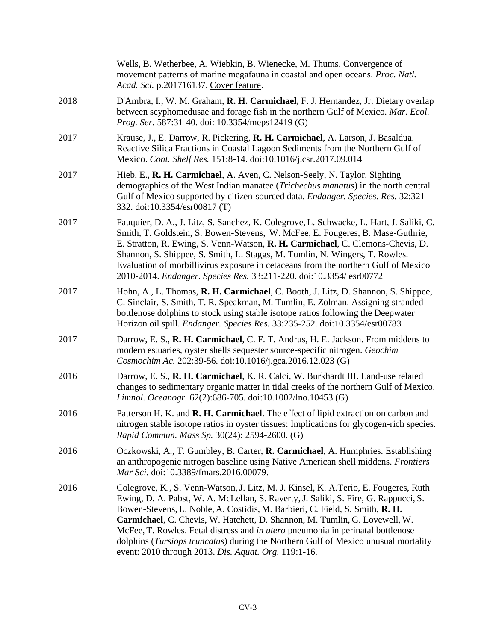|      | Wells, B. Wetherbee, A. Wiebkin, B. Wienecke, M. Thums. Convergence of<br>movement patterns of marine megafauna in coastal and open oceans. Proc. Natl.<br>Acad. Sci. p.201716137. Cover feature.                                                                                                                                                                                                                                                                                                                                                                          |
|------|----------------------------------------------------------------------------------------------------------------------------------------------------------------------------------------------------------------------------------------------------------------------------------------------------------------------------------------------------------------------------------------------------------------------------------------------------------------------------------------------------------------------------------------------------------------------------|
| 2018 | D'Ambra, I., W. M. Graham, R. H. Carmichael, F. J. Hernandez, Jr. Dietary overlap<br>between scyphomedusae and forage fish in the northern Gulf of Mexico. Mar. Ecol.<br>Prog. Ser. 587:31-40. doi: 10.3354/meps12419 (G)                                                                                                                                                                                                                                                                                                                                                  |
| 2017 | Krause, J., E. Darrow, R. Pickering, R. H. Carmichael, A. Larson, J. Basaldua.<br>Reactive Silica Fractions in Coastal Lagoon Sediments from the Northern Gulf of<br>Mexico. Cont. Shelf Res. 151:8-14. doi:10.1016/j.csr.2017.09.014                                                                                                                                                                                                                                                                                                                                      |
| 2017 | Hieb, E., R. H. Carmichael, A. Aven, C. Nelson-Seely, N. Taylor. Sighting<br>demographics of the West Indian manatee ( <i>Trichechus manatus</i> ) in the north central<br>Gulf of Mexico supported by citizen-sourced data. Endanger. Species. Res. 32:321-<br>332. doi:10.3354/esr00817 (T)                                                                                                                                                                                                                                                                              |
| 2017 | Fauquier, D. A., J. Litz, S. Sanchez, K. Colegrove, L. Schwacke, L. Hart, J. Saliki, C.<br>Smith, T. Goldstein, S. Bowen-Stevens, W. McFee, E. Fougeres, B. Mase-Guthrie,<br>E. Stratton, R. Ewing, S. Venn-Watson, R. H. Carmichael, C. Clemons-Chevis, D.<br>Shannon, S. Shippee, S. Smith, L. Staggs, M. Tumlin, N. Wingers, T. Rowles.<br>Evaluation of morbillivirus exposure in cetaceans from the northern Gulf of Mexico<br>2010-2014. Endanger. Species Res. 33:211-220. doi:10.3354/esr00772                                                                     |
| 2017 | Hohn, A., L. Thomas, R. H. Carmichael, C. Booth, J. Litz, D. Shannon, S. Shippee,<br>C. Sinclair, S. Smith, T. R. Speakman, M. Tumlin, E. Zolman. Assigning stranded<br>bottlenose dolphins to stock using stable isotope ratios following the Deepwater<br>Horizon oil spill. Endanger. Species Res. 33:235-252. doi:10.3354/esr00783                                                                                                                                                                                                                                     |
| 2017 | Darrow, E. S., R. H. Carmichael, C. F. T. Andrus, H. E. Jackson. From middens to<br>modern estuaries, oyster shells sequester source-specific nitrogen. Geochim<br>Cosmochim Ac. 202:39-56. doi:10.1016/j.gca.2016.12.023 (G)                                                                                                                                                                                                                                                                                                                                              |
| 2016 | Darrow, E. S., R. H. Carmichael, K. R. Calci, W. Burkhardt III. Land-use related<br>changes to sedimentary organic matter in tidal creeks of the northern Gulf of Mexico.<br>Limnol. Oceanogr. 62(2):686-705. doi:10.1002/lno.10453 (G)                                                                                                                                                                                                                                                                                                                                    |
| 2016 | Patterson H. K. and <b>R. H. Carmichael</b> . The effect of lipid extraction on carbon and<br>nitrogen stable isotope ratios in oyster tissues: Implications for glycogen-rich species.<br>Rapid Commun. Mass Sp. 30(24): 2594-2600. (G)                                                                                                                                                                                                                                                                                                                                   |
| 2016 | Oczkowski, A., T. Gumbley, B. Carter, R. Carmichael, A. Humphries. Establishing<br>an anthropogenic nitrogen baseline using Native American shell middens. Frontiers<br>Mar Sci. doi:10.3389/fmars.2016.00079.                                                                                                                                                                                                                                                                                                                                                             |
| 2016 | Colegrove, K., S. Venn-Watson, J. Litz, M. J. Kinsel, K. A. Terio, E. Fougeres, Ruth<br>Ewing, D. A. Pabst, W. A. McLellan, S. Raverty, J. Saliki, S. Fire, G. Rappucci, S.<br>Bowen-Stevens, L. Noble, A. Costidis, M. Barbieri, C. Field, S. Smith, R. H.<br>Carmichael, C. Chevis, W. Hatchett, D. Shannon, M. Tumlin, G. Lovewell, W.<br>McFee, T. Rowles. Fetal distress and in utero pneumonia in perinatal bottlenose<br>dolphins (Tursiops truncatus) during the Northern Gulf of Mexico unusual mortality<br>event: 2010 through 2013. Dis. Aquat. Org. 119:1-16. |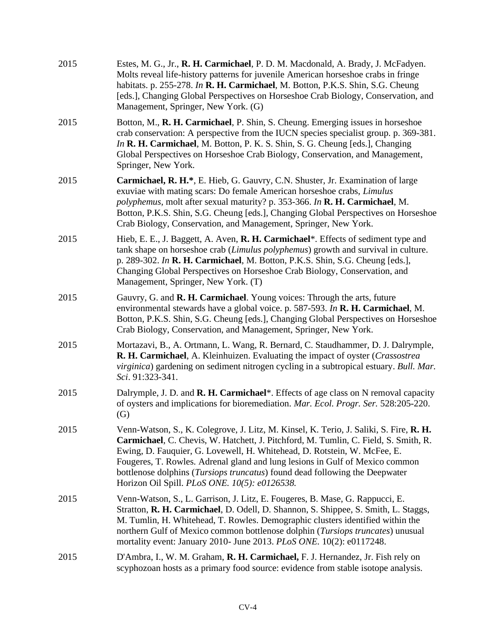| 2015 | Estes, M. G., Jr., R. H. Carmichael, P. D. M. Macdonald, A. Brady, J. McFadyen.<br>Molts reveal life-history patterns for juvenile American horseshoe crabs in fringe<br>habitats. p. 255-278. In R. H. Carmichael, M. Botton, P.K.S. Shin, S.G. Cheung<br>[eds.], Changing Global Perspectives on Horseshoe Crab Biology, Conservation, and<br>Management, Springer, New York. (G)                                                                                       |
|------|---------------------------------------------------------------------------------------------------------------------------------------------------------------------------------------------------------------------------------------------------------------------------------------------------------------------------------------------------------------------------------------------------------------------------------------------------------------------------|
| 2015 | Botton, M., R. H. Carmichael, P. Shin, S. Cheung. Emerging issues in horseshoe<br>crab conservation: A perspective from the IUCN species specialist group. p. 369-381.<br>In R. H. Carmichael, M. Botton, P. K. S. Shin, S. G. Cheung [eds.], Changing<br>Global Perspectives on Horseshoe Crab Biology, Conservation, and Management,<br>Springer, New York.                                                                                                             |
| 2015 | Carmichael, R. H.*, E. Hieb, G. Gauvry, C.N. Shuster, Jr. Examination of large<br>exuviae with mating scars: Do female American horseshoe crabs, Limulus<br>polyphemus, molt after sexual maturity? p. 353-366. In R. H. Carmichael, M.<br>Botton, P.K.S. Shin, S.G. Cheung [eds.], Changing Global Perspectives on Horseshoe<br>Crab Biology, Conservation, and Management, Springer, New York.                                                                          |
| 2015 | Hieb, E. E., J. Baggett, A. Aven, R. H. Carmichael*. Effects of sediment type and<br>tank shape on horseshoe crab (Limulus polyphemus) growth and survival in culture.<br>p. 289-302. In R. H. Carmichael, M. Botton, P.K.S. Shin, S.G. Cheung [eds.],<br>Changing Global Perspectives on Horseshoe Crab Biology, Conservation, and<br>Management, Springer, New York. (T)                                                                                                |
| 2015 | Gauvry, G. and R. H. Carmichael. Young voices: Through the arts, future<br>environmental stewards have a global voice. p. 587-593. In R. H. Carmichael, M.<br>Botton, P.K.S. Shin, S.G. Cheung [eds.], Changing Global Perspectives on Horseshoe<br>Crab Biology, Conservation, and Management, Springer, New York.                                                                                                                                                       |
| 2015 | Mortazavi, B., A. Ortmann, L. Wang, R. Bernard, C. Staudhammer, D. J. Dalrymple,<br>R. H. Carmichael, A. Kleinhuizen. Evaluating the impact of oyster (Crassostrea<br>virginica) gardening on sediment nitrogen cycling in a subtropical estuary. Bull. Mar.<br>Sci. 91:323-341.                                                                                                                                                                                          |
| 2015 | Dalrymple, J. D. and R. H. Carmichael*. Effects of age class on N removal capacity<br>of oysters and implications for bioremediation. Mar. Ecol. Progr. Ser. 528:205-220.<br>$\left( G\right)$                                                                                                                                                                                                                                                                            |
| 2015 | Venn-Watson, S., K. Colegrove, J. Litz, M. Kinsel, K. Terio, J. Saliki, S. Fire, R. H.<br>Carmichael, C. Chevis, W. Hatchett, J. Pitchford, M. Tumlin, C. Field, S. Smith, R.<br>Ewing, D. Fauquier, G. Lovewell, H. Whitehead, D. Rotstein, W. McFee, E.<br>Fougeres, T. Rowles. Adrenal gland and lung lesions in Gulf of Mexico common<br>bottlenose dolphins (Tursiops truncatus) found dead following the Deepwater<br>Horizon Oil Spill. PLoS ONE. 10(5): e0126538. |
| 2015 | Venn-Watson, S., L. Garrison, J. Litz, E. Fougeres, B. Mase, G. Rappucci, E.<br>Stratton, R. H. Carmichael, D. Odell, D. Shannon, S. Shippee, S. Smith, L. Staggs,<br>M. Tumlin, H. Whitehead, T. Rowles. Demographic clusters identified within the<br>northern Gulf of Mexico common bottlenose dolphin (Tursiops truncates) unusual<br>mortality event: January 2010- June 2013. PLoS ONE. 10(2): e0117248.                                                            |
| 2015 | D'Ambra, I., W. M. Graham, R. H. Carmichael, F. J. Hernandez, Jr. Fish rely on<br>scyphozoan hosts as a primary food source: evidence from stable isotope analysis.                                                                                                                                                                                                                                                                                                       |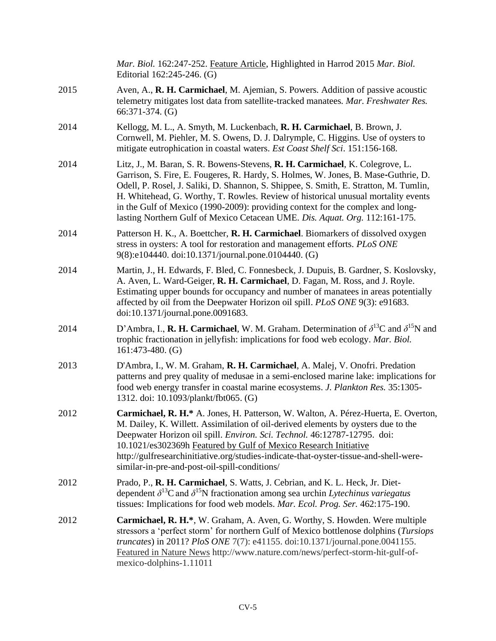|      | Mar. Biol. 162:247-252. Feature Article, Highlighted in Harrod 2015 Mar. Biol.<br>Editorial 162:245-246. (G)                                                                                                                                                                                                                                                                                                                                                                                                      |
|------|-------------------------------------------------------------------------------------------------------------------------------------------------------------------------------------------------------------------------------------------------------------------------------------------------------------------------------------------------------------------------------------------------------------------------------------------------------------------------------------------------------------------|
| 2015 | Aven, A., R. H. Carmichael, M. Ajemian, S. Powers. Addition of passive acoustic<br>telemetry mitigates lost data from satellite-tracked manatees. Mar. Freshwater Res.<br>$66:371-374.$ (G)                                                                                                                                                                                                                                                                                                                       |
| 2014 | Kellogg, M. L., A. Smyth, M. Luckenbach, R. H. Carmichael, B. Brown, J.<br>Cornwell, M. Piehler, M. S. Owens, D. J. Dalrymple, C. Higgins. Use of oysters to<br>mitigate eutrophication in coastal waters. Est Coast Shelf Sci. 151:156-168.                                                                                                                                                                                                                                                                      |
| 2014 | Litz, J., M. Baran, S. R. Bowens-Stevens, R. H. Carmichael, K. Colegrove, L.<br>Garrison, S. Fire, E. Fougeres, R. Hardy, S. Holmes, W. Jones, B. Mase-Guthrie, D.<br>Odell, P. Rosel, J. Saliki, D. Shannon, S. Shippee, S. Smith, E. Stratton, M. Tumlin,<br>H. Whitehead, G. Worthy, T. Rowles. Review of historical unusual mortality events<br>in the Gulf of Mexico (1990-2009): providing context for the complex and long-<br>lasting Northern Gulf of Mexico Cetacean UME. Dis. Aquat. Org. 112:161-175. |
| 2014 | Patterson H. K., A. Boettcher, R. H. Carmichael. Biomarkers of dissolved oxygen<br>stress in oysters: A tool for restoration and management efforts. PLoS ONE<br>9(8):e104440. doi:10.1371/journal.pone.0104440. (G)                                                                                                                                                                                                                                                                                              |
| 2014 | Martin, J., H. Edwards, F. Bled, C. Fonnesbeck, J. Dupuis, B. Gardner, S. Koslovsky,<br>A. Aven, L. Ward-Geiger, R. H. Carmichael, D. Fagan, M. Ross, and J. Royle.<br>Estimating upper bounds for occupancy and number of manatees in areas potentially<br>affected by oil from the Deepwater Horizon oil spill. PLoS ONE 9(3): e91683.<br>doi:10.1371/journal.pone.0091683.                                                                                                                                     |
| 2014 | D'Ambra, I., <b>R. H. Carmichael</b> , W. M. Graham. Determination of $\delta^{13}$ C and $\delta^{15}$ N and<br>trophic fractionation in jellyfish: implications for food web ecology. Mar. Biol.<br>$161:473-480.$ (G)                                                                                                                                                                                                                                                                                          |
| 2013 | D'Ambra, I., W. M. Graham, R. H. Carmichael, A. Malej, V. Onofri. Predation<br>patterns and prey quality of medusae in a semi-enclosed marine lake: implications for<br>food web energy transfer in coastal marine ecosystems. J. Plankton Res. 35:1305-<br>1312. doi: 10.1093/plankt/fbt065. (G)                                                                                                                                                                                                                 |
| 2012 | Carmichael, R. H.* A. Jones, H. Patterson, W. Walton, A. Pérez-Huerta, E. Overton,<br>M. Dailey, K. Willett. Assimilation of oil-derived elements by oysters due to the<br>Deepwater Horizon oil spill. Environ. Sci. Technol. 46:12787-12795. doi:<br>10.1021/es302369h Featured by Gulf of Mexico Research Initiative<br>http://gulfresearchinitiative.org/studies-indicate-that-oyster-tissue-and-shell-were-<br>similar-in-pre-and-post-oil-spill-conditions/                                                 |
| 2012 | Prado, P., R. H. Carmichael, S. Watts, J. Cebrian, and K. L. Heck, Jr. Diet-<br>dependent $\delta^{13}$ C and $\delta^{15}$ N fractionation among sea urchin Lytechinus variegatus<br>tissues: Implications for food web models. Mar. Ecol. Prog. Ser. 462:175-190.                                                                                                                                                                                                                                               |
| 2012 | Carmichael, R. H.*, W. Graham, A. Aven, G. Worthy, S. Howden. Were multiple<br>stressors a 'perfect storm' for northern Gulf of Mexico bottlenose dolphins (Tursiops<br>truncates) in 2011? PloS ONE 7(7): e41155. doi:10.1371/journal.pone.0041155.<br>Featured in Nature News http://www.nature.com/news/perfect-storm-hit-gulf-of-<br>mexico-dolphins-1.11011                                                                                                                                                  |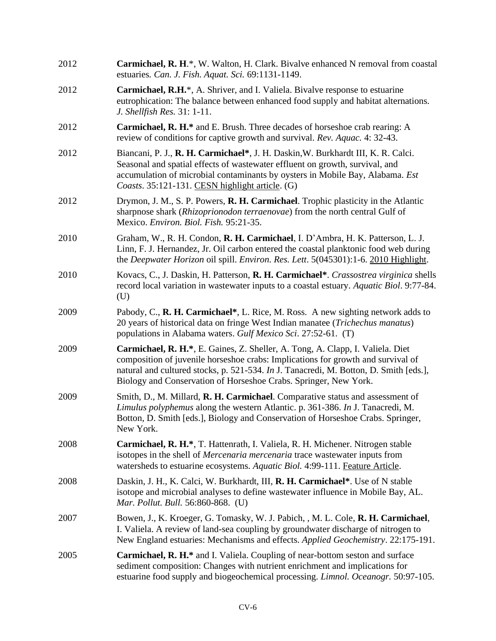| 2012 | Carmichael, R. H.*, W. Walton, H. Clark. Bivalve enhanced N removal from coastal<br>estuaries. Can. J. Fish. Aquat. Sci. 69:1131-1149.                                                                                                                                                                                          |
|------|---------------------------------------------------------------------------------------------------------------------------------------------------------------------------------------------------------------------------------------------------------------------------------------------------------------------------------|
| 2012 | <b>Carmichael, R.H.</b> *, A. Shriver, and I. Valiela. Bivalve response to estuarine<br>eutrophication: The balance between enhanced food supply and habitat alternations.<br>J. Shellfish Res. 31: 1-11.                                                                                                                       |
| 2012 | <b>Carmichael, R. H.*</b> and E. Brush. Three decades of horseshoe crab rearing: A<br>review of conditions for captive growth and survival. Rev. Aquac. 4: 32-43.                                                                                                                                                               |
| 2012 | Biancani, P. J., R. H. Carmichael*, J. H. Daskin, W. Burkhardt III, K. R. Calci.<br>Seasonal and spatial effects of wastewater effluent on growth, survival, and<br>accumulation of microbial contaminants by oysters in Mobile Bay, Alabama. Est<br>Coasts. 35:121-131. CESN highlight article. (G)                            |
| 2012 | Drymon, J. M., S. P. Powers, <b>R. H. Carmichael</b> . Trophic plasticity in the Atlantic<br>sharpnose shark (Rhizoprionodon terraenovae) from the north central Gulf of<br>Mexico. Environ. Biol. Fish. 95:21-35.                                                                                                              |
| 2010 | Graham, W., R. H. Condon, R. H. Carmichael, I. D'Ambra, H. K. Patterson, L. J.<br>Linn, F. J. Hernandez, Jr. Oil carbon entered the coastal planktonic food web during<br>the <i>Deepwater Horizon</i> oil spill. <i>Environ. Res. Lett.</i> 5(045301):1-6. 2010 Highlight.                                                     |
| 2010 | Kovacs, C., J. Daskin, H. Patterson, R. H. Carmichael*. Crassostrea virginica shells<br>record local variation in was tewater inputs to a coastal estuary. Aquatic Biol. 9:77-84.<br>(U)                                                                                                                                        |
| 2009 | Pabody, C., R. H. Carmichael*, L. Rice, M. Ross. A new sighting network adds to<br>20 years of historical data on fringe West Indian manatee (Trichechus manatus)<br>populations in Alabama waters. Gulf Mexico Sci. 27:52-61. (T)                                                                                              |
| 2009 | Carmichael, R. H.*, E. Gaines, Z. Sheller, A. Tong, A. Clapp, I. Valiela. Diet<br>composition of juvenile horseshoe crabs: Implications for growth and survival of<br>natural and cultured stocks, p. 521-534. In J. Tanacredi, M. Botton, D. Smith [eds.],<br>Biology and Conservation of Horseshoe Crabs. Springer, New York. |
| 2009 | Smith, D., M. Millard, R. H. Carmichael. Comparative status and assessment of<br>Limulus polyphemus along the western Atlantic. p. 361-386. In J. Tanacredi, M.<br>Botton, D. Smith [eds.], Biology and Conservation of Horseshoe Crabs. Springer,<br>New York.                                                                 |
| 2008 | Carmichael, R. H.*, T. Hattenrath, I. Valiela, R. H. Michener. Nitrogen stable<br>isotopes in the shell of <i>Mercenaria mercenaria</i> trace wastewater inputs from<br>watersheds to estuarine ecosystems. Aquatic Biol. 4:99-111. Feature Article.                                                                            |
| 2008 | Daskin, J. H., K. Calci, W. Burkhardt, III, R. H. Carmichael*. Use of N stable<br>isotope and microbial analyses to define wastewater influence in Mobile Bay, AL.<br>Mar. Pollut. Bull. 56:860-868. (U)                                                                                                                        |
| 2007 | Bowen, J., K. Kroeger, G. Tomasky, W. J. Pabich, , M. L. Cole, R. H. Carmichael,<br>I. Valiela. A review of land-sea coupling by groundwater discharge of nitrogen to<br>New England estuaries: Mechanisms and effects. Applied Geochemistry. 22:175-191.                                                                       |
| 2005 | <b>Carmichael, R. H.*</b> and I. Valiela. Coupling of near-bottom seston and surface<br>sediment composition: Changes with nutrient enrichment and implications for<br>estuarine food supply and biogeochemical processing. <i>Limnol. Oceanogr.</i> 50:97-105.                                                                 |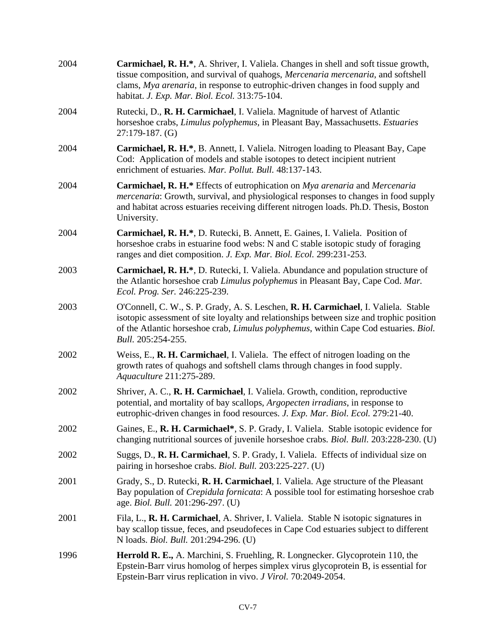| 2004 | <b>Carmichael, R. H.*</b> , A. Shriver, I. Valiela. Changes in shell and soft tissue growth,<br>tissue composition, and survival of quahogs, <i>Mercenaria mercenaria</i> , and softshell<br>clams, Mya arenaria, in response to eutrophic-driven changes in food supply and<br>habitat. J. Exp. Mar. Biol. Ecol. 313:75-104. |
|------|-------------------------------------------------------------------------------------------------------------------------------------------------------------------------------------------------------------------------------------------------------------------------------------------------------------------------------|
| 2004 | Rutecki, D., R. H. Carmichael, I. Valiela. Magnitude of harvest of Atlantic<br>horseshoe crabs, Limulus polyphemus, in Pleasant Bay, Massachusetts. Estuaries<br>$27:179-187.$ (G)                                                                                                                                            |
| 2004 | Carmichael, R. H.*, B. Annett, I. Valiela. Nitrogen loading to Pleasant Bay, Cape<br>Cod: Application of models and stable isotopes to detect incipient nutrient<br>enrichment of estuaries. Mar. Pollut. Bull. 48:137-143.                                                                                                   |
| 2004 | Carmichael, R. H.* Effects of eutrophication on Mya arenaria and Mercenaria<br><i>mercenaria:</i> Growth, survival, and physiological responses to changes in food supply<br>and habitat across estuaries receiving different nitrogen loads. Ph.D. Thesis, Boston<br>University.                                             |
| 2004 | Carmichael, R. H.*, D. Rutecki, B. Annett, E. Gaines, I. Valiela. Position of<br>horseshoe crabs in estuarine food webs: N and C stable isotopic study of foraging<br>ranges and diet composition. J. Exp. Mar. Biol. Ecol. 299:231-253.                                                                                      |
| 2003 | Carmichael, R. H.*, D. Rutecki, I. Valiela. Abundance and population structure of<br>the Atlantic horseshoe crab Limulus polyphemus in Pleasant Bay, Cape Cod. Mar.<br>Ecol. Prog. Ser. 246:225-239.                                                                                                                          |
| 2003 | O'Connell, C. W., S. P. Grady, A. S. Leschen, R. H. Carmichael, I. Valiela. Stable<br>isotopic assessment of site loyalty and relationships between size and trophic position<br>of the Atlantic horseshoe crab, <i>Limulus polyphemus</i> , within Cape Cod estuaries. <i>Biol.</i><br>Bull. 205:254-255.                    |
| 2002 | Weiss, E., R. H. Carmichael, I. Valiela. The effect of nitrogen loading on the<br>growth rates of quahogs and softshell clams through changes in food supply.<br>Aquaculture 211:275-289.                                                                                                                                     |
| 2002 | Shriver, A. C., R. H. Carmichael, I. Valiela. Growth, condition, reproductive<br>potential, and mortality of bay scallops, Argopecten irradians, in response to<br>eutrophic-driven changes in food resources. J. Exp. Mar. Biol. Ecol. 279:21-40.                                                                            |
| 2002 | Gaines, E., R. H. Carmichael*, S. P. Grady, I. Valiela. Stable isotopic evidence for<br>changing nutritional sources of juvenile horseshoe crabs. <i>Biol. Bull.</i> 203:228-230. (U)                                                                                                                                         |
| 2002 | Suggs, D., R. H. Carmichael, S. P. Grady, I. Valiela. Effects of individual size on<br>pairing in horseshoe crabs. <i>Biol. Bull.</i> 203:225-227. (U)                                                                                                                                                                        |
| 2001 | Grady, S., D. Rutecki, R. H. Carmichael, I. Valiela. Age structure of the Pleasant<br>Bay population of <i>Crepidula fornicata</i> : A possible tool for estimating horseshoe crab<br>age. Biol. Bull. 201:296-297. (U)                                                                                                       |
| 2001 | Fila, L., R. H. Carmichael, A. Shriver, I. Valiela. Stable N isotopic signatures in<br>bay scallop tissue, feces, and pseudofeces in Cape Cod estuaries subject to different<br>N loads. Biol. Bull. 201:294-296. (U)                                                                                                         |
| 1996 | Herrold R. E., A. Marchini, S. Fruehling, R. Longnecker. Glycoprotein 110, the<br>Epstein-Barr virus homolog of herpes simplex virus glycoprotein B, is essential for<br>Epstein-Barr virus replication in vivo. J Virol. 70:2049-2054.                                                                                       |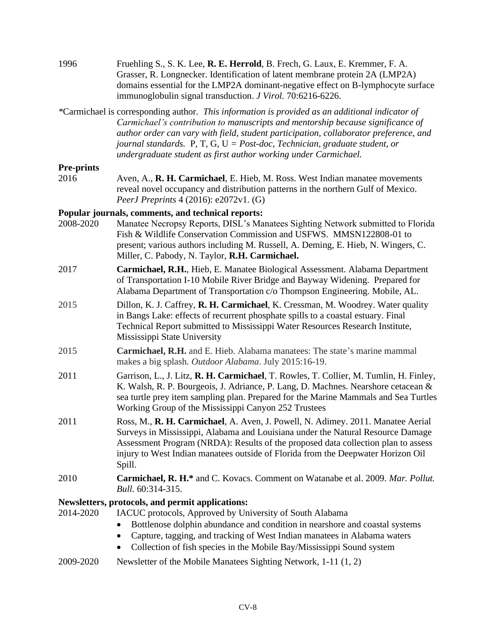| 1996              | Fruehling S., S. K. Lee, R. E. Herrold, B. Frech, G. Laux, E. Kremmer, F. A.<br>Grasser, R. Longnecker. Identification of latent membrane protein 2A (LMP2A)<br>domains essential for the LMP2A dominant-negative effect on B-lymphocyte surface<br>immunoglobulin signal transduction. J Virol. 70:6216-6226.                                                                                                                         |
|-------------------|----------------------------------------------------------------------------------------------------------------------------------------------------------------------------------------------------------------------------------------------------------------------------------------------------------------------------------------------------------------------------------------------------------------------------------------|
|                   | *Carmichael is corresponding author. This information is provided as an additional indicator of<br>Carmichael's contribution to manuscripts and mentorship because significance of<br>author order can vary with field, student participation, collaborator preference, and<br>journal standards. P, T, G, $U = Post\text{-}doc$ , Technician, graduate student, or<br>undergraduate student as first author working under Carmichael. |
| <b>Pre-prints</b> |                                                                                                                                                                                                                                                                                                                                                                                                                                        |
| 2016              | Aven, A., R. H. Carmichael, E. Hieb, M. Ross. West Indian manatee movements<br>reveal novel occupancy and distribution patterns in the northern Gulf of Mexico.<br>PeerJ Preprints 4 (2016): e2072v1. (G)                                                                                                                                                                                                                              |
|                   | Popular journals, comments, and technical reports:                                                                                                                                                                                                                                                                                                                                                                                     |
| 2008-2020         | Manatee Necropsy Reports, DISL's Manatees Sighting Network submitted to Florida<br>Fish & Wildlife Conservation Commission and USFWS. MMSN122808-01 to<br>present; various authors including M. Russell, A. Deming, E. Hieb, N. Wingers, C.<br>Miller, C. Pabody, N. Taylor, R.H. Carmichael.                                                                                                                                          |
| 2017              | Carmichael, R.H., Hieb, E. Manatee Biological Assessment. Alabama Department<br>of Transportation I-10 Mobile River Bridge and Bayway Widening. Prepared for<br>Alabama Department of Transportation c/o Thompson Engineering. Mobile, AL.                                                                                                                                                                                             |
| 2015              | Dillon, K. J. Caffrey, R. H. Carmichael, K. Cressman, M. Woodrey. Water quality<br>in Bangs Lake: effects of recurrent phosphate spills to a coastal estuary. Final<br>Technical Report submitted to Mississippi Water Resources Research Institute,<br>Mississippi State University                                                                                                                                                   |
| 2015              | Carmichael, R.H. and E. Hieb. Alabama manatees: The state's marine mammal<br>makes a big splash. Outdoor Alabama. July 2015:16-19.                                                                                                                                                                                                                                                                                                     |
| 2011              | Garrison, L., J. Litz, R. H. Carmichael, T. Rowles, T. Collier, M. Tumlin, H. Finley,<br>K. Walsh, R. P. Bourgeois, J. Adriance, P. Lang, D. Machnes. Nearshore cetacean &<br>sea turtle prey item sampling plan. Prepared for the Marine Mammals and Sea Turtles<br>Working Group of the Mississippi Canyon 252 Trustees                                                                                                              |
| 2011              | Ross, M., R. H. Carmichael, A. Aven, J. Powell, N. Adimey. 2011. Manatee Aerial<br>Surveys in Mississippi, Alabama and Louisiana under the Natural Resource Damage<br>Assessment Program (NRDA): Results of the proposed data collection plan to assess<br>injury to West Indian manatees outside of Florida from the Deepwater Horizon Oil<br>Spill.                                                                                  |
| 2010              | Carmichael, R. H.* and C. Kovacs. Comment on Watanabe et al. 2009. Mar. Pollut.<br>Bull. 60:314-315.                                                                                                                                                                                                                                                                                                                                   |
|                   | Newsletters, protocols, and permit applications:                                                                                                                                                                                                                                                                                                                                                                                       |
| 2014-2020         | IACUC protocols, Approved by University of South Alabama                                                                                                                                                                                                                                                                                                                                                                               |
|                   | Bottlenose dolphin abundance and condition in nearshore and coastal systems<br>$\bullet$<br>Capture, tagging, and tracking of West Indian manatees in Alabama waters<br>$\bullet$<br>Collection of fish species in the Mobile Bay/Mississippi Sound system<br>$\bullet$                                                                                                                                                                |
| 2009-2020         | Newsletter of the Mobile Manatees Sighting Network, 1-11 (1, 2)                                                                                                                                                                                                                                                                                                                                                                        |
|                   |                                                                                                                                                                                                                                                                                                                                                                                                                                        |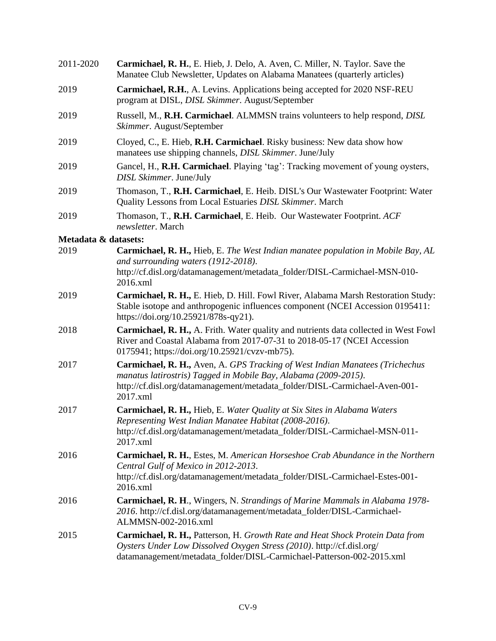| 2011-2020            | Carmichael, R. H., E. Hieb, J. Delo, A. Aven, C. Miller, N. Taylor. Save the<br>Manatee Club Newsletter, Updates on Alabama Manatees (quarterly articles)                                                                                         |
|----------------------|---------------------------------------------------------------------------------------------------------------------------------------------------------------------------------------------------------------------------------------------------|
| 2019                 | <b>Carmichael, R.H., A. Levins. Applications being accepted for 2020 NSF-REU</b><br>program at DISL, DISL Skimmer. August/September                                                                                                               |
| 2019                 | Russell, M., R.H. Carmichael. ALMMSN trains volunteers to help respond, DISL<br>Skimmer. August/September                                                                                                                                         |
| 2019                 | Cloyed, C., E. Hieb, R.H. Carmichael. Risky business: New data show how<br>manatees use shipping channels, DISL Skimmer. June/July                                                                                                                |
| 2019                 | Gancel, H., R.H. Carmichael. Playing 'tag': Tracking movement of young oysters,<br>DISL Skimmer. June/July                                                                                                                                        |
| 2019                 | Thomason, T., R.H. Carmichael, E. Heib. DISL's Our Wastewater Footprint: Water<br>Quality Lessons from Local Estuaries DISL Skimmer. March                                                                                                        |
| 2019                 | Thomason, T., R.H. Carmichael, E. Heib. Our Wastewater Footprint. ACF<br>newsletter. March                                                                                                                                                        |
| Metadata & datasets: |                                                                                                                                                                                                                                                   |
| 2019                 | <b>Carmichael, R. H., Hieb, E. The West Indian manatee population in Mobile Bay, AL</b><br>and surrounding waters (1912-2018).<br>http://cf.disl.org/datamanagement/metadata_folder/DISL-Carmichael-MSN-010-<br>2016.xml                          |
| 2019                 | Carmichael, R. H., E. Hieb, D. Hill. Fowl River, Alabama Marsh Restoration Study:<br>Stable isotope and anthropogenic influences component (NCEI Accession 0195411:<br>https://doi.org/10.25921/878s-qy21).                                       |
| 2018                 | Carmichael, R. H., A. Frith. Water quality and nutrients data collected in West Fowl<br>River and Coastal Alabama from 2017-07-31 to 2018-05-17 (NCEI Accession<br>0175941; https://doi.org/10.25921/cvzv-mb75).                                  |
| 2017                 | <b>Carmichael, R. H., Aven, A. GPS Tracking of West Indian Manatees (Trichechus</b><br>manatus latirostris) Tagged in Mobile Bay, Alabama (2009-2015).<br>http://cf.disl.org/datamanagement/metadata_folder/DISL-Carmichael-Aven-001-<br>2017.xml |
| 2017                 | Carmichael, R. H., Hieb, E. Water Quality at Six Sites in Alabama Waters<br>Representing West Indian Manatee Habitat (2008-2016).<br>http://cf.disl.org/datamanagement/metadata_folder/DISL-Carmichael-MSN-011-<br>2017.xml                       |
| 2016                 | <b>Carmichael, R. H., Estes, M. American Horseshoe Crab Abundance in the Northern</b><br>Central Gulf of Mexico in 2012-2013.<br>http://cf.disl.org/datamanagement/metadata_folder/DISL-Carmichael-Estes-001-<br>2016.xml                         |
| 2016                 | <b>Carmichael, R. H., Wingers, N. Strandings of Marine Mammals in Alabama 1978-</b><br>2016. http://cf.disl.org/datamanagement/metadata_folder/DISL-Carmichael-<br>ALMMSN-002-2016.xml                                                            |
| 2015                 | <b>Carmichael, R. H., Patterson, H. Growth Rate and Heat Shock Protein Data from</b><br>Oysters Under Low Dissolved Oxygen Stress (2010). http://cf.disl.org/<br>datamanagement/metadata_folder/DISL-Carmichael-Patterson-002-2015.xml            |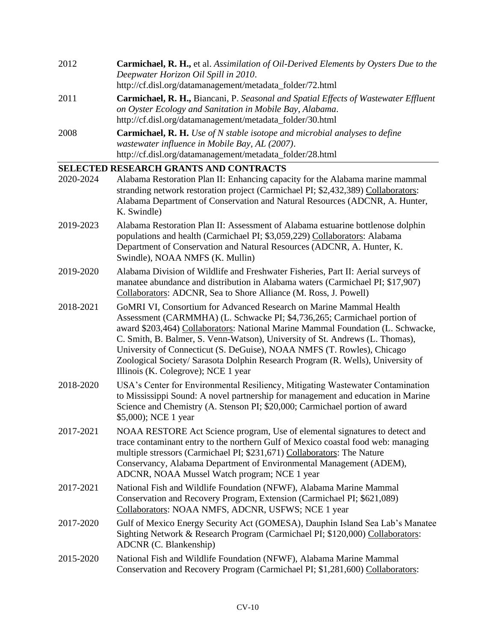| 2012 | <b>Carmichael, R. H., et al. Assimilation of Oil-Derived Elements by Oysters Due to the</b> |
|------|---------------------------------------------------------------------------------------------|
|      | Deepwater Horizon Oil Spill in 2010.                                                        |
|      | http://cf.disl.org/datamanagement/metadata_folder/72.html                                   |
| 2011 | <b>Carmichael, R. H., Biancani, P. Seasonal and Spatial Effects of Wastewater Effluent</b>  |
|      | on Oyster Ecology and Sanitation in Mobile Bay, Alabama.                                    |
|      | http://cf.disl.org/datamanagement/metadata_folder/30.html                                   |

2008 **Carmichael, R. H.** *Use of N stable isotope and microbial analyses to define wastewater influence in Mobile Bay, AL (2007)*. http://cf.disl.org/datamanagement/metadata\_folder/28.html

## **SELECTED RESEARCH GRANTS AND CONTRACTS**

| 2020-2024 | Alabama Restoration Plan II: Enhancing capacity for the Alabama marine mammal<br>stranding network restoration project (Carmichael PI; \$2,432,389) Collaborators:<br>Alabama Department of Conservation and Natural Resources (ADCNR, A. Hunter,<br>K. Swindle)                                                                                                                                                                                                                                                      |
|-----------|-----------------------------------------------------------------------------------------------------------------------------------------------------------------------------------------------------------------------------------------------------------------------------------------------------------------------------------------------------------------------------------------------------------------------------------------------------------------------------------------------------------------------|
| 2019-2023 | Alabama Restoration Plan II: Assessment of Alabama estuarine bottlenose dolphin<br>populations and health (Carmichael PI; \$3,059,229) Collaborators: Alabama<br>Department of Conservation and Natural Resources (ADCNR, A. Hunter, K.<br>Swindle), NOAA NMFS (K. Mullin)                                                                                                                                                                                                                                            |
| 2019-2020 | Alabama Division of Wildlife and Freshwater Fisheries, Part II: Aerial surveys of<br>manatee abundance and distribution in Alabama waters (Carmichael PI; \$17,907)<br>Collaborators: ADCNR, Sea to Shore Alliance (M. Ross, J. Powell)                                                                                                                                                                                                                                                                               |
| 2018-2021 | GoMRI VI, Consortium for Advanced Research on Marine Mammal Health<br>Assessment (CARMMHA) (L. Schwacke PI; \$4,736,265; Carmichael portion of<br>award \$203,464) Collaborators: National Marine Mammal Foundation (L. Schwacke,<br>C. Smith, B. Balmer, S. Venn-Watson), University of St. Andrews (L. Thomas),<br>University of Connecticut (S. DeGuise), NOAA NMFS (T. Rowles), Chicago<br>Zoological Society/ Sarasota Dolphin Research Program (R. Wells), University of<br>Illinois (K. Colegrove); NCE 1 year |
| 2018-2020 | USA's Center for Environmental Resiliency, Mitigating Wastewater Contamination<br>to Mississippi Sound: A novel partnership for management and education in Marine<br>Science and Chemistry (A. Stenson PI; \$20,000; Carmichael portion of award<br>\$5,000); NCE 1 year                                                                                                                                                                                                                                             |
| 2017-2021 | NOAA RESTORE Act Science program, Use of elemental signatures to detect and<br>trace contaminant entry to the northern Gulf of Mexico coastal food web: managing<br>multiple stressors (Carmichael PI; \$231,671) Collaborators: The Nature<br>Conservancy, Alabama Department of Environmental Management (ADEM),<br>ADCNR, NOAA Mussel Watch program; NCE 1 year                                                                                                                                                    |
| 2017-2021 | National Fish and Wildlife Foundation (NFWF), Alabama Marine Mammal<br>Conservation and Recovery Program, Extension (Carmichael PI; \$621,089)<br>Collaborators: NOAA NMFS, ADCNR, USFWS; NCE 1 year                                                                                                                                                                                                                                                                                                                  |
| 2017-2020 | Gulf of Mexico Energy Security Act (GOMESA), Dauphin Island Sea Lab's Manatee<br>Sighting Network & Research Program (Carmichael PI; \$120,000) Collaborators:<br>ADCNR (C. Blankenship)                                                                                                                                                                                                                                                                                                                              |
| 2015-2020 | National Fish and Wildlife Foundation (NFWF), Alabama Marine Mammal<br>Conservation and Recovery Program (Carmichael PI; \$1,281,600) Collaborators:                                                                                                                                                                                                                                                                                                                                                                  |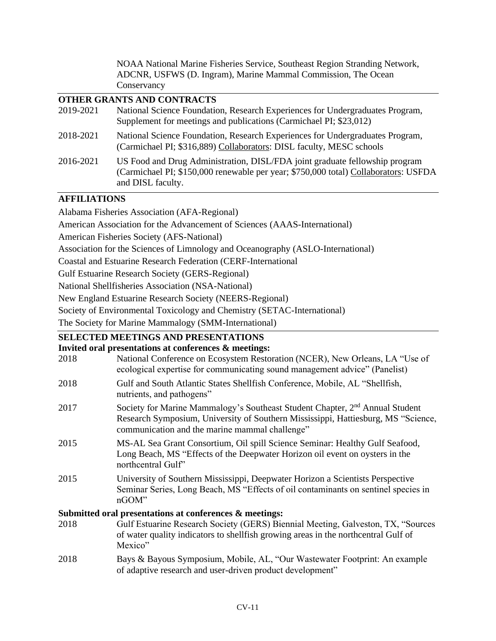NOAA National Marine Fisheries Service, Southeast Region Stranding Network, ADCNR, USFWS (D. Ingram), Marine Mammal Commission, The Ocean **Conservancy** 

### **OTHER GRANTS AND CONTRACTS**

| 2019-2021 | National Science Foundation, Research Experiences for Undergraduates Program,<br>Supplement for meetings and publications (Carmichael PI; \$23,012)                                     |
|-----------|-----------------------------------------------------------------------------------------------------------------------------------------------------------------------------------------|
| 2018-2021 | National Science Foundation, Research Experiences for Undergraduates Program,<br>(Carmichael PI; \$316,889) Collaborators: DISL faculty, MESC schools                                   |
| 2016-2021 | US Food and Drug Administration, DISL/FDA joint graduate fellowship program<br>(Carmichael PI; \$150,000 renewable per year; \$750,000 total) Collaborators: USFDA<br>and DISL faculty. |

### **AFFILIATIONS**

Alabama Fisheries Association (AFA-Regional)

American Association for the Advancement of Sciences (AAAS-International)

American Fisheries Society (AFS-National)

Association for the Sciences of Limnology and Oceanography (ASLO-International)

Coastal and Estuarine Research Federation (CERF-International

Gulf Estuarine Research Society (GERS-Regional)

National Shellfisheries Association (NSA-National)

New England Estuarine Research Society (NEERS-Regional)

Society of Environmental Toxicology and Chemistry (SETAC-International)

The Society for Marine Mammalogy (SMM-International)

# **SELECTED MEETINGS AND PRESENTATIONS**

### **Invited oral presentations at conferences & meetings:**

| 2018 | myneu oran presentations at comercires of meetings.<br>National Conference on Ecosystem Restoration (NCER), New Orleans, LA "Use of<br>ecological expertise for communicating sound management advice" (Panelist)               |
|------|---------------------------------------------------------------------------------------------------------------------------------------------------------------------------------------------------------------------------------|
| 2018 | Gulf and South Atlantic States Shellfish Conference, Mobile, AL "Shellfish,<br>nutrients, and pathogens"                                                                                                                        |
| 2017 | Society for Marine Mammalogy's Southeast Student Chapter, 2 <sup>nd</sup> Annual Student<br>Research Symposium, University of Southern Mississippi, Hattiesburg, MS "Science,<br>communication and the marine mammal challenge" |
| 2015 | MS-AL Sea Grant Consortium, Oil spill Science Seminar: Healthy Gulf Seafood,<br>Long Beach, MS "Effects of the Deepwater Horizon oil event on oysters in the<br>northcentral Gulf"                                              |
| 2015 | University of Southern Mississippi, Deepwater Horizon a Scientists Perspective<br>Seminar Series, Long Beach, MS "Effects of oil contaminants on sentinel species in<br>nGOM"                                                   |
|      | Submitted oral presentations at conferences & meetings:                                                                                                                                                                         |
| 2018 | Gulf Estuarine Research Society (GERS) Biennial Meeting, Galveston, TX, "Sources<br>of water quality indicators to shell fish growing areas in the northcentral Gulf of<br>Mexico"                                              |
| 2018 | Bays & Bayous Symposium, Mobile, AL, "Our Wastewater Footprint: An example                                                                                                                                                      |

of adaptive research and user-driven product development"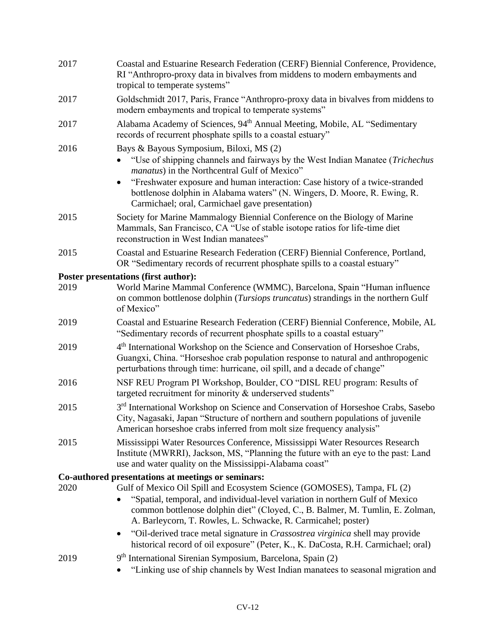| 2017 | Coastal and Estuarine Research Federation (CERF) Biennial Conference, Providence,<br>RI "Anthropro-proxy data in bivalves from middens to modern embayments and<br>tropical to temperate systems"                                                                                                                                                                                                     |
|------|-------------------------------------------------------------------------------------------------------------------------------------------------------------------------------------------------------------------------------------------------------------------------------------------------------------------------------------------------------------------------------------------------------|
| 2017 | Goldschmidt 2017, Paris, France "Anthropro-proxy data in bivalves from middens to<br>modern embayments and tropical to temperate systems"                                                                                                                                                                                                                                                             |
| 2017 | Alabama Academy of Sciences, 94 <sup>th</sup> Annual Meeting, Mobile, AL "Sedimentary<br>records of recurrent phosphate spills to a coastal estuary"                                                                                                                                                                                                                                                  |
| 2016 | Bays & Bayous Symposium, Biloxi, MS (2)<br>"Use of shipping channels and fairways by the West Indian Manatee (Trichechus<br>manatus) in the Northcentral Gulf of Mexico"<br>"Freshwater exposure and human interaction: Case history of a twice-stranded<br>$\bullet$<br>bottlenose dolphin in Alabama waters" (N. Wingers, D. Moore, R. Ewing, R.<br>Carmichael; oral, Carmichael gave presentation) |
| 2015 | Society for Marine Mammalogy Biennial Conference on the Biology of Marine<br>Mammals, San Francisco, CA "Use of stable isotope ratios for life-time diet<br>reconstruction in West Indian manatees"                                                                                                                                                                                                   |
| 2015 | Coastal and Estuarine Research Federation (CERF) Biennial Conference, Portland,<br>OR "Sedimentary records of recurrent phosphate spills to a coastal estuary"                                                                                                                                                                                                                                        |
|      | Poster presentations (first author):                                                                                                                                                                                                                                                                                                                                                                  |
| 2019 | World Marine Mammal Conference (WMMC), Barcelona, Spain "Human influence<br>on common bottlenose dolphin ( <i>Tursiops truncatus</i> ) strandings in the northern Gulf<br>of Mexico"                                                                                                                                                                                                                  |
| 2019 | Coastal and Estuarine Research Federation (CERF) Biennial Conference, Mobile, AL<br>"Sedimentary records of recurrent phosphate spills to a coastal estuary"                                                                                                                                                                                                                                          |
| 2019 | 4 <sup>th</sup> International Workshop on the Science and Conservation of Horseshoe Crabs,<br>Guangxi, China. "Horseshoe crab population response to natural and anthropogenic<br>perturbations through time: hurricane, oil spill, and a decade of change"                                                                                                                                           |
| 2016 | NSF REU Program PI Workshop, Boulder, CO "DISL REU program: Results of<br>targeted recruitment for minority & underserved students"                                                                                                                                                                                                                                                                   |
| 2015 | 3 <sup>rd</sup> International Workshop on Science and Conservation of Horseshoe Crabs, Sasebo<br>City, Nagasaki, Japan "Structure of northern and southern populations of juvenile<br>American horseshoe crabs inferred from molt size frequency analysis"                                                                                                                                            |
| 2015 | Mississippi Water Resources Conference, Mississippi Water Resources Research<br>Institute (MWRRI), Jackson, MS, "Planning the future with an eye to the past: Land<br>use and water quality on the Mississippi-Alabama coast"                                                                                                                                                                         |
|      | Co-authored presentations at meetings or seminars:                                                                                                                                                                                                                                                                                                                                                    |
| 2020 | Gulf of Mexico Oil Spill and Ecosystem Science (GOMOSES), Tampa, FL (2)                                                                                                                                                                                                                                                                                                                               |
|      | "Spatial, temporal, and individual-level variation in northern Gulf of Mexico<br>common bottlenose dolphin diet" (Cloyed, C., B. Balmer, M. Tumlin, E. Zolman,<br>A. Barleycorn, T. Rowles, L. Schwacke, R. Carmicahel; poster)                                                                                                                                                                       |
|      | "Oil-derived trace metal signature in <i>Crassostrea virginica</i> shell may provide<br>٠<br>historical record of oil exposure" (Peter, K., K. DaCosta, R.H. Carmichael; oral)                                                                                                                                                                                                                        |
| 2019 | 9 <sup>th</sup> International Sirenian Symposium, Barcelona, Spain (2)<br>"Linking use of ship channels by West Indian manatees to seasonal migration and                                                                                                                                                                                                                                             |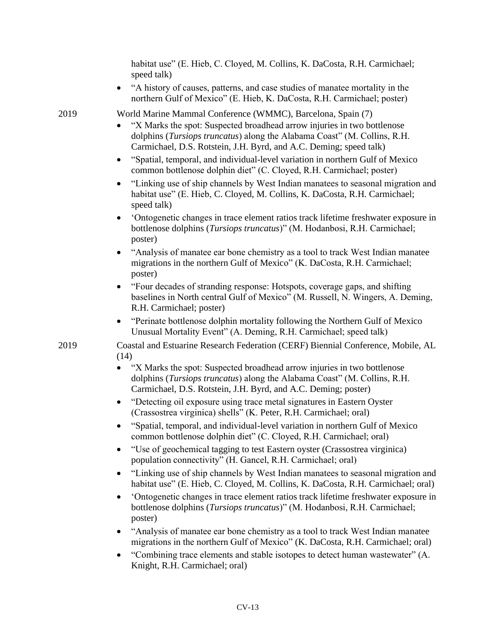habitat use" (E. Hieb, C. Cloyed, M. Collins, K. DaCosta, R.H. Carmichael; speed talk) • "A history of causes, patterns, and case studies of manatee mortality in the northern Gulf of Mexico" (E. Hieb, K. DaCosta, R.H. Carmichael; poster)

2019 World Marine Mammal Conference (WMMC), Barcelona, Spain (7)

- "X Marks the spot: Suspected broadhead arrow injuries in two bottlenose dolphins (*Tursiops truncatus*) along the Alabama Coast" (M. Collins, R.H. Carmichael, D.S. Rotstein, J.H. Byrd, and A.C. Deming; speed talk)
- "Spatial, temporal, and individual-level variation in northern Gulf of Mexico common bottlenose dolphin diet" (C. Cloyed, R.H. Carmichael; poster)
- "Linking use of ship channels by West Indian manatees to seasonal migration and habitat use" (E. Hieb, C. Cloyed, M. Collins, K. DaCosta, R.H. Carmichael; speed talk)
- 'Ontogenetic changes in trace element ratios track lifetime freshwater exposure in bottlenose dolphins (*Tursiops truncatus*)" (M. Hodanbosi, R.H. Carmichael; poster)
- "Analysis of manatee ear bone chemistry as a tool to track West Indian manatee migrations in the northern Gulf of Mexico" (K. DaCosta, R.H. Carmichael; poster)
- "Four decades of stranding response: Hotspots, coverage gaps, and shifting baselines in North central Gulf of Mexico" (M. Russell, N. Wingers, A. Deming, R.H. Carmichael; poster)
- "Perinate bottlenose dolphin mortality following the Northern Gulf of Mexico Unusual Mortality Event" (A. Deming, R.H. Carmichael; speed talk)

2019 Coastal and Estuarine Research Federation (CERF) Biennial Conference, Mobile, AL (14)

- "X Marks the spot: Suspected broadhead arrow injuries in two bottlenose dolphins (*Tursiops truncatus*) along the Alabama Coast" (M. Collins, R.H. Carmichael, D.S. Rotstein, J.H. Byrd, and A.C. Deming; poster)
- "Detecting oil exposure using trace metal signatures in Eastern Oyster (Crassostrea virginica) shells" (K. Peter, R.H. Carmichael; oral)
- "Spatial, temporal, and individual-level variation in northern Gulf of Mexico common bottlenose dolphin diet" (C. Cloyed, R.H. Carmichael; oral)
- "Use of geochemical tagging to test Eastern oyster (Crassostrea virginica) population connectivity" (H. Gancel, R.H. Carmichael; oral)
- "Linking use of ship channels by West Indian manatees to seasonal migration and habitat use" (E. Hieb, C. Cloyed, M. Collins, K. DaCosta, R.H. Carmichael; oral)
- 'Ontogenetic changes in trace element ratios track lifetime freshwater exposure in bottlenose dolphins (*Tursiops truncatus*)" (M. Hodanbosi, R.H. Carmichael; poster)
- "Analysis of manatee ear bone chemistry as a tool to track West Indian manatee migrations in the northern Gulf of Mexico" (K. DaCosta, R.H. Carmichael; oral)
- "Combining trace elements and stable isotopes to detect human wastewater" (A. Knight, R.H. Carmichael; oral)

CV-13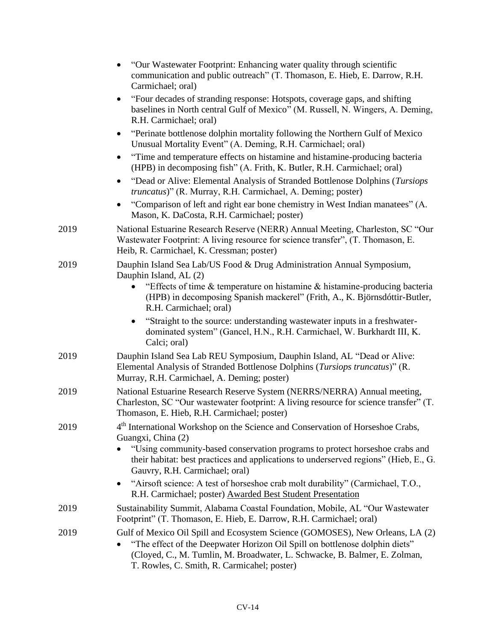|      | "Our Wastewater Footprint: Enhancing water quality through scientific<br>$\bullet$<br>communication and public outreach" (T. Thomason, E. Hieb, E. Darrow, R.H.<br>Carmichael; oral)                                                                                                     |
|------|------------------------------------------------------------------------------------------------------------------------------------------------------------------------------------------------------------------------------------------------------------------------------------------|
|      | "Four decades of stranding response: Hotspots, coverage gaps, and shifting<br>$\bullet$<br>baselines in North central Gulf of Mexico" (M. Russell, N. Wingers, A. Deming,<br>R.H. Carmichael; oral)                                                                                      |
|      | "Perinate bottlenose dolphin mortality following the Northern Gulf of Mexico<br>$\bullet$<br>Unusual Mortality Event" (A. Deming, R.H. Carmichael; oral)                                                                                                                                 |
|      | "Time and temperature effects on histamine and histamine-producing bacteria<br>(HPB) in decomposing fish" (A. Frith, K. Butler, R.H. Carmichael; oral)                                                                                                                                   |
|      | "Dead or Alive: Elemental Analysis of Stranded Bottlenose Dolphins (Tursiops<br><i>truncatus</i> )" (R. Murray, R.H. Carmichael, A. Deming; poster)                                                                                                                                      |
|      | "Comparison of left and right ear bone chemistry in West Indian manatees" (A.<br>Mason, K. DaCosta, R.H. Carmichael; poster)                                                                                                                                                             |
| 2019 | National Estuarine Research Reserve (NERR) Annual Meeting, Charleston, SC "Our<br>Wastewater Footprint: A living resource for science transfer", (T. Thomason, E.<br>Heib, R. Carmichael, K. Cressman; poster)                                                                           |
| 2019 | Dauphin Island Sea Lab/US Food & Drug Administration Annual Symposium,<br>Dauphin Island, AL (2)                                                                                                                                                                                         |
|      | "Effects of time & temperature on histamine & histamine-producing bacteria<br>(HPB) in decomposing Spanish mackerel" (Frith, A., K. Björnsdóttir-Butler,<br>R.H. Carmichael; oral)                                                                                                       |
|      | "Straight to the source: understanding wastewater inputs in a freshwater-<br>dominated system" (Gancel, H.N., R.H. Carmichael, W. Burkhardt III, K.<br>Calci; oral)                                                                                                                      |
| 2019 | Dauphin Island Sea Lab REU Symposium, Dauphin Island, AL "Dead or Alive:<br>Elemental Analysis of Stranded Bottlenose Dolphins (Tursiops truncatus)" (R.<br>Murray, R.H. Carmichael, A. Deming; poster)                                                                                  |
| 2019 | National Estuarine Research Reserve System (NERRS/NERRA) Annual meeting,<br>Charleston, SC "Our wastewater footprint: A living resource for science transfer" (T.<br>Thomason, E. Hieb, R.H. Carmichael; poster)                                                                         |
| 2019 | 4 <sup>th</sup> International Workshop on the Science and Conservation of Horseshoe Crabs,<br>Guangxi, China (2)                                                                                                                                                                         |
|      | "Using community-based conservation programs to protect horseshoe crabs and<br>their habitat: best practices and applications to underserved regions" (Hieb, E., G.<br>Gauvry, R.H. Carmichael; oral)                                                                                    |
|      | "Airsoft science: A test of horseshoe crab molt durability" (Carmichael, T.O.,<br>٠<br>R.H. Carmichael; poster) Awarded Best Student Presentation                                                                                                                                        |
| 2019 | Sustainability Summit, Alabama Coastal Foundation, Mobile, AL "Our Wastewater"<br>Footprint" (T. Thomason, E. Hieb, E. Darrow, R.H. Carmichael; oral)                                                                                                                                    |
| 2019 | Gulf of Mexico Oil Spill and Ecosystem Science (GOMOSES), New Orleans, LA (2)<br>"The effect of the Deepwater Horizon Oil Spill on bottlenose dolphin diets"<br>(Cloyed, C., M. Tumlin, M. Broadwater, L. Schwacke, B. Balmer, E. Zolman,<br>T. Rowles, C. Smith, R. Carmicahel; poster) |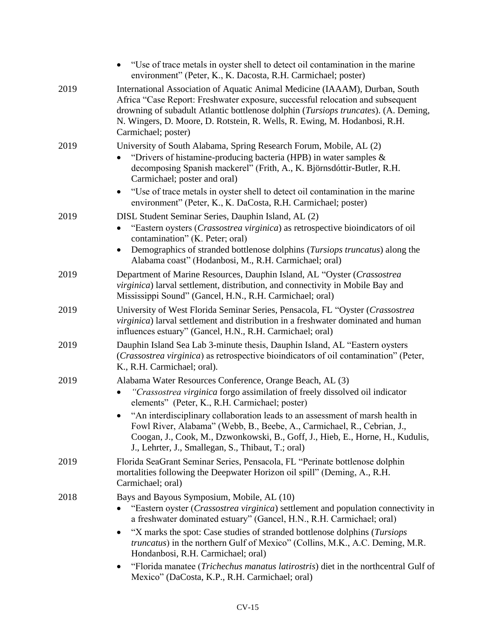|      | "Use of trace metals in oyster shell to detect oil contamination in the marine<br>environment" (Peter, K., K. Dacosta, R.H. Carmichael; poster)                                                                                                                                                                                                                                                                                                                                               |
|------|-----------------------------------------------------------------------------------------------------------------------------------------------------------------------------------------------------------------------------------------------------------------------------------------------------------------------------------------------------------------------------------------------------------------------------------------------------------------------------------------------|
| 2019 | International Association of Aquatic Animal Medicine (IAAAM), Durban, South<br>Africa "Case Report: Freshwater exposure, successful relocation and subsequent<br>drowning of subadult Atlantic bottlenose dolphin (Tursiops truncates). (A. Deming,<br>N. Wingers, D. Moore, D. Rotstein, R. Wells, R. Ewing, M. Hodanbosi, R.H.<br>Carmichael; poster)                                                                                                                                       |
| 2019 | University of South Alabama, Spring Research Forum, Mobile, AL (2)<br>"Drivers of histamine-producing bacteria (HPB) in water samples &<br>decomposing Spanish mackerel" (Frith, A., K. Björnsdóttir-Butler, R.H.<br>Carmichael; poster and oral)                                                                                                                                                                                                                                             |
|      | "Use of trace metals in oyster shell to detect oil contamination in the marine<br>٠<br>environment" (Peter, K., K. DaCosta, R.H. Carmichael; poster)                                                                                                                                                                                                                                                                                                                                          |
| 2019 | DISL Student Seminar Series, Dauphin Island, AL (2)<br>"Eastern oysters ( <i>Crassostrea virginica</i> ) as retrospective bioindicators of oil<br>contamination" (K. Peter; oral)<br>Demographics of stranded bottlenose dolphins (Tursiops truncatus) along the<br>$\bullet$<br>Alabama coast" (Hodanbosi, M., R.H. Carmichael; oral)                                                                                                                                                        |
| 2019 | Department of Marine Resources, Dauphin Island, AL "Oyster (Crassostrea<br><i>virginica</i> ) larval settlement, distribution, and connectivity in Mobile Bay and<br>Mississippi Sound" (Gancel, H.N., R.H. Carmichael; oral)                                                                                                                                                                                                                                                                 |
| 2019 | University of West Florida Seminar Series, Pensacola, FL "Oyster (Crassostrea<br>virginica) larval settlement and distribution in a freshwater dominated and human<br>influences estuary" (Gancel, H.N., R.H. Carmichael; oral)                                                                                                                                                                                                                                                               |
| 2019 | Dauphin Island Sea Lab 3-minute thesis, Dauphin Island, AL "Eastern oysters<br>(Crassostrea virginica) as retrospective bioindicators of oil contamination" (Peter,<br>K., R.H. Carmichael; oral).                                                                                                                                                                                                                                                                                            |
| 2019 | Alabama Water Resources Conference, Orange Beach, AL (3)<br>"Crassostrea virginica forgo assimilation of freely dissolved oil indicator<br>elements" (Peter, K., R.H. Carmichael; poster)<br>"An interdisciplinary collaboration leads to an assessment of marsh health in<br>Fowl River, Alabama" (Webb, B., Beebe, A., Carmichael, R., Cebrian, J.,<br>Coogan, J., Cook, M., Dzwonkowski, B., Goff, J., Hieb, E., Horne, H., Kudulis,<br>J., Lehrter, J., Smallegan, S., Thibaut, T.; oral) |
| 2019 | Florida SeaGrant Seminar Series, Pensacola, FL "Perinate bottlenose dolphin<br>mortalities following the Deepwater Horizon oil spill" (Deming, A., R.H.<br>Carmichael; oral)                                                                                                                                                                                                                                                                                                                  |
| 2018 | Bays and Bayous Symposium, Mobile, AL (10)<br>"Eastern oyster (Crassostrea virginica) settlement and population connectivity in<br>a freshwater dominated estuary" (Gancel, H.N., R.H. Carmichael; oral)<br>"X marks the spot: Case studies of stranded bottlenose dolphins (Tursiops<br>$\bullet$                                                                                                                                                                                            |
|      | <i>truncatus</i> ) in the northern Gulf of Mexico" (Collins, M.K., A.C. Deming, M.R.<br>Hondanbosi, R.H. Carmichael; oral)                                                                                                                                                                                                                                                                                                                                                                    |
|      | "Florida manatee (Trichechus manatus latirostris) diet in the northcentral Gulf of<br>$\bullet$<br>Mexico" (DaCosta, K.P., R.H. Carmichael; oral)                                                                                                                                                                                                                                                                                                                                             |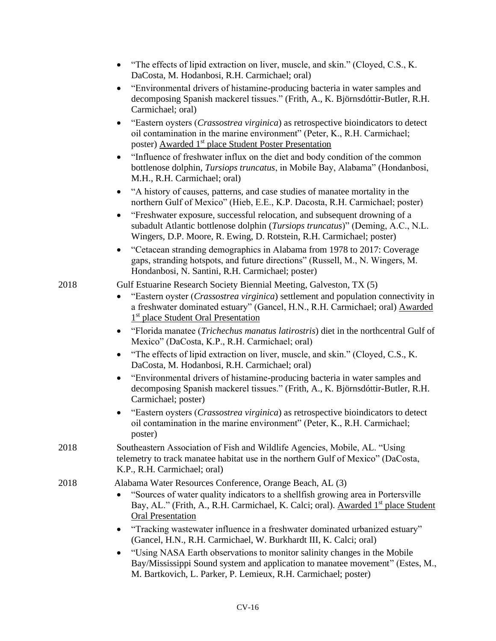| "The effects of lipid extraction on liver, muscle, and skin." (Cloyed, C.S., K. |
|---------------------------------------------------------------------------------|
| DaCosta, M. Hodanbosi, R.H. Carmichael; oral)                                   |

- "Environmental drivers of histamine-producing bacteria in water samples and decomposing Spanish mackerel tissues." (Frith, A., K. Björnsdóttir-Butler, R.H. Carmichael; oral)
- "Eastern oysters (*Crassostrea virginica*) as retrospective bioindicators to detect oil contamination in the marine environment" (Peter, K., R.H. Carmichael; poster) Awarded 1<sup>st</sup> place Student Poster Presentation
- "Influence of freshwater influx on the diet and body condition of the common bottlenose dolphin, *Tursiops truncatus*, in Mobile Bay, Alabama" (Hondanbosi, M.H., R.H. Carmichael; oral)
- "A history of causes, patterns, and case studies of manatee mortality in the northern Gulf of Mexico" (Hieb, E.E., K.P. Dacosta, R.H. Carmichael; poster)
- "Freshwater exposure, successful relocation, and subsequent drowning of a subadult Atlantic bottlenose dolphin (*Tursiops truncatus*)" (Deming, A.C., N.L. Wingers, D.P. Moore, R. Ewing, D. Rotstein, R.H. Carmichael; poster)
- "Cetacean stranding demographics in Alabama from 1978 to 2017: Coverage gaps, stranding hotspots, and future directions" (Russell, M., N. Wingers, M. Hondanbosi, N. Santini, R.H. Carmichael; poster)

### 2018 Gulf Estuarine Research Society Biennial Meeting, Galveston, TX (5)

- "Eastern oyster (*Crassostrea virginica*) settlement and population connectivity in a freshwater dominated estuary" (Gancel, H.N., R.H. Carmichael; oral) Awarded 1<sup>st</sup> place Student Oral Presentation
- "Florida manatee (*Trichechus manatus latirostris*) diet in the northcentral Gulf of Mexico" (DaCosta, K.P., R.H. Carmichael; oral)
- "The effects of lipid extraction on liver, muscle, and skin." (Cloyed, C.S., K. DaCosta, M. Hodanbosi, R.H. Carmichael; oral)
- "Environmental drivers of histamine-producing bacteria in water samples and decomposing Spanish mackerel tissues." (Frith, A., K. Björnsdóttir-Butler, R.H. Carmichael; poster)
- "Eastern oysters (*Crassostrea virginica*) as retrospective bioindicators to detect oil contamination in the marine environment" (Peter, K., R.H. Carmichael; poster)
- 2018 Southeastern Association of Fish and Wildlife Agencies, Mobile, AL. "Using telemetry to track manatee habitat use in the northern Gulf of Mexico" (DaCosta, K.P., R.H. Carmichael; oral)

### 2018 Alabama Water Resources Conference, Orange Beach, AL (3)

- "Sources of water quality indicators to a shellfish growing area in Portersville Bay, AL." (Frith, A., R.H. Carmichael, K. Calci; oral). Awarded 1<sup>st</sup> place Student Oral Presentation
- "Tracking wastewater influence in a freshwater dominated urbanized estuary" (Gancel, H.N., R.H. Carmichael, W. Burkhardt III, K. Calci; oral)
- "Using NASA Earth observations to monitor salinity changes in the Mobile Bay/Mississippi Sound system and application to manatee movement" (Estes, M., M. Bartkovich, L. Parker, P. Lemieux, R.H. Carmichael; poster)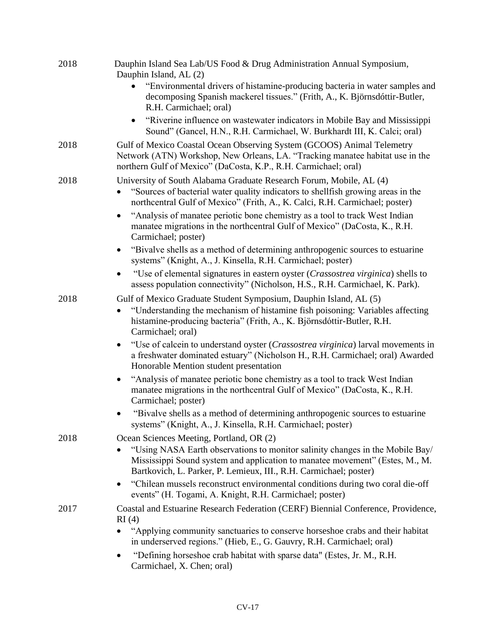| 2018 | Dauphin Island Sea Lab/US Food & Drug Administration Annual Symposium,<br>Dauphin Island, AL (2)<br>"Environmental drivers of histamine-producing bacteria in water samples and<br>decomposing Spanish mackerel tissues." (Frith, A., K. Björnsdóttir-Butler,                  |
|------|--------------------------------------------------------------------------------------------------------------------------------------------------------------------------------------------------------------------------------------------------------------------------------|
|      | R.H. Carmichael; oral)<br>"Riverine influence on wastewater indicators in Mobile Bay and Mississippi<br>Sound" (Gancel, H.N., R.H. Carmichael, W. Burkhardt III, K. Calci; oral)                                                                                               |
| 2018 | Gulf of Mexico Coastal Ocean Observing System (GCOOS) Animal Telemetry<br>Network (ATN) Workshop, New Orleans, LA. "Tracking manatee habitat use in the<br>northern Gulf of Mexico" (DaCosta, K.P., R.H. Carmichael; oral)                                                     |
| 2018 | University of South Alabama Graduate Research Forum, Mobile, AL (4)<br>"Sources of bacterial water quality indicators to shellfish growing areas in the<br>northcentral Gulf of Mexico" (Frith, A., K. Calci, R.H. Carmichael; poster)                                         |
|      | "Analysis of manatee periotic bone chemistry as a tool to track West Indian<br>$\bullet$<br>manatee migrations in the northcentral Gulf of Mexico" (DaCosta, K., R.H.<br>Carmichael; poster)                                                                                   |
|      | "Bivalve shells as a method of determining anthropogenic sources to estuarine<br>systems" (Knight, A., J. Kinsella, R.H. Carmichael; poster)                                                                                                                                   |
|      | "Use of elemental signatures in eastern oyster ( <i>Crassostrea virginica</i> ) shells to<br>assess population connectivity" (Nicholson, H.S., R.H. Carmichael, K. Park).                                                                                                      |
| 2018 | Gulf of Mexico Graduate Student Symposium, Dauphin Island, AL (5)<br>"Understanding the mechanism of histamine fish poisoning: Variables affecting<br>histamine-producing bacteria" (Frith, A., K. Björnsdóttir-Butler, R.H.<br>Carmichael; oral)                              |
|      | "Use of calcein to understand oyster (Crassostrea virginica) larval movements in<br>$\bullet$<br>a freshwater dominated estuary" (Nicholson H., R.H. Carmichael; oral) Awarded<br>Honorable Mention student presentation                                                       |
|      | "Analysis of manatee periotic bone chemistry as a tool to track West Indian<br>$\bullet$<br>manatee migrations in the northcentral Gulf of Mexico" (DaCosta, K., R.H.<br>Carmichael; poster)                                                                                   |
|      | "Bivalve shells as a method of determining anthropogenic sources to estuarine<br>systems" (Knight, A., J. Kinsella, R.H. Carmichael; poster)                                                                                                                                   |
| 2018 | Ocean Sciences Meeting, Portland, OR (2)<br>"Using NASA Earth observations to monitor salinity changes in the Mobile Bay/<br>Mississippi Sound system and application to manatee movement" (Estes, M., M.<br>Bartkovich, L. Parker, P. Lemieux, III., R.H. Carmichael; poster) |
|      | "Chilean mussels reconstruct environmental conditions during two coral die-off<br>$\bullet$<br>events" (H. Togami, A. Knight, R.H. Carmichael; poster)                                                                                                                         |
| 2017 | Coastal and Estuarine Research Federation (CERF) Biennial Conference, Providence,<br>RI(4)                                                                                                                                                                                     |
|      | "Applying community sanctuaries to conserve horseshoe crabs and their habitat<br>in underserved regions." (Hieb, E., G. Gauvry, R.H. Carmichael; oral)                                                                                                                         |
|      | "Defining horseshoe crab habitat with sparse data" (Estes, Jr. M., R.H.<br>Carmichael, X. Chen; oral)                                                                                                                                                                          |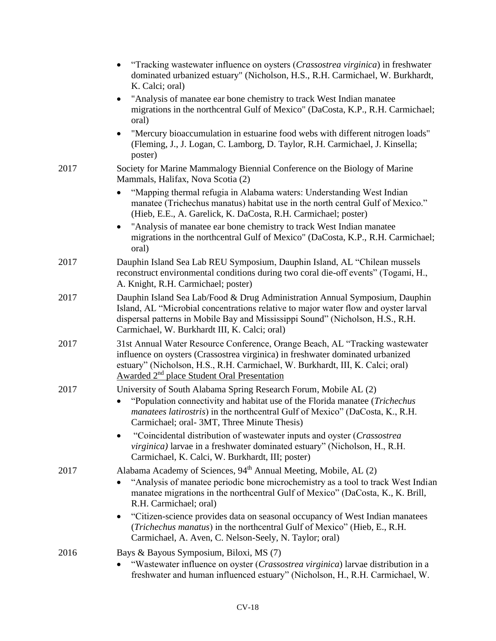|      | "Tracking wastewater influence on oysters (Crassostrea virginica) in freshwater<br>dominated urbanized estuary" (Nicholson, H.S., R.H. Carmichael, W. Burkhardt,<br>K. Calci; oral)                                                                                                                         |
|------|-------------------------------------------------------------------------------------------------------------------------------------------------------------------------------------------------------------------------------------------------------------------------------------------------------------|
|      | "Analysis of manatee ear bone chemistry to track West Indian manatee<br>migrations in the northcentral Gulf of Mexico" (DaCosta, K.P., R.H. Carmichael;<br>oral)                                                                                                                                            |
|      | "Mercury bioaccumulation in estuarine food webs with different nitrogen loads"<br>$\bullet$<br>(Fleming, J., J. Logan, C. Lamborg, D. Taylor, R.H. Carmichael, J. Kinsella;<br>poster)                                                                                                                      |
| 2017 | Society for Marine Mammalogy Biennial Conference on the Biology of Marine<br>Mammals, Halifax, Nova Scotia (2)                                                                                                                                                                                              |
|      | "Mapping thermal refugia in Alabama waters: Understanding West Indian<br>manatee (Trichechus manatus) habitat use in the north central Gulf of Mexico."<br>(Hieb, E.E., A. Garelick, K. DaCosta, R.H. Carmichael; poster)                                                                                   |
|      | "Analysis of manatee ear bone chemistry to track West Indian manatee<br>migrations in the northcentral Gulf of Mexico" (DaCosta, K.P., R.H. Carmichael;<br>oral)                                                                                                                                            |
| 2017 | Dauphin Island Sea Lab REU Symposium, Dauphin Island, AL "Chilean mussels<br>reconstruct environmental conditions during two coral die-off events" (Togami, H.,<br>A. Knight, R.H. Carmichael; poster)                                                                                                      |
| 2017 | Dauphin Island Sea Lab/Food & Drug Administration Annual Symposium, Dauphin<br>Island, AL "Microbial concentrations relative to major water flow and oyster larval<br>dispersal patterns in Mobile Bay and Mississippi Sound" (Nicholson, H.S., R.H.<br>Carmichael, W. Burkhardt III, K. Calci; oral)       |
| 2017 | 31st Annual Water Resource Conference, Orange Beach, AL "Tracking wastewater<br>influence on oysters (Crassostrea virginica) in freshwater dominated urbanized<br>estuary" (Nicholson, H.S., R.H. Carmichael, W. Burkhardt, III, K. Calci; oral)<br>Awarded 2 <sup>nd</sup> place Student Oral Presentation |
| 2017 | University of South Alabama Spring Research Forum, Mobile AL (2)<br>"Population connectivity and habitat use of the Florida manatee (Trichechus<br><i>manatees latirostris</i> ) in the northcentral Gulf of Mexico" (DaCosta, K., R.H.<br>Carmichael; oral- 3MT, Three Minute Thesis)                      |
|      | "Coincidental distribution of wastewater inputs and oyster (Crassostrea<br><i>virginica</i> ) larvae in a freshwater dominated estuary" (Nicholson, H., R.H.<br>Carmichael, K. Calci, W. Burkhardt, III; poster)                                                                                            |
| 2017 | Alabama Academy of Sciences, 94 <sup>th</sup> Annual Meeting, Mobile, AL (2)<br>"Analysis of manatee periodic bone microchemistry as a tool to track West Indian<br>manatee migrations in the northcentral Gulf of Mexico" (DaCosta, K., K. Brill,<br>R.H. Carmichael; oral)                                |
|      | "Citizen-science provides data on seasonal occupancy of West Indian manatees<br>٠<br>(Trichechus manatus) in the northcentral Gulf of Mexico" (Hieb, E., R.H.<br>Carmichael, A. Aven, C. Nelson-Seely, N. Taylor; oral)                                                                                     |
| 2016 | Bays & Bayous Symposium, Biloxi, MS (7)<br>"Wastewater influence on oyster (Crassostrea virginica) larvae distribution in a<br>freshwater and human influenced estuary" (Nicholson, H., R.H. Carmichael, W.                                                                                                 |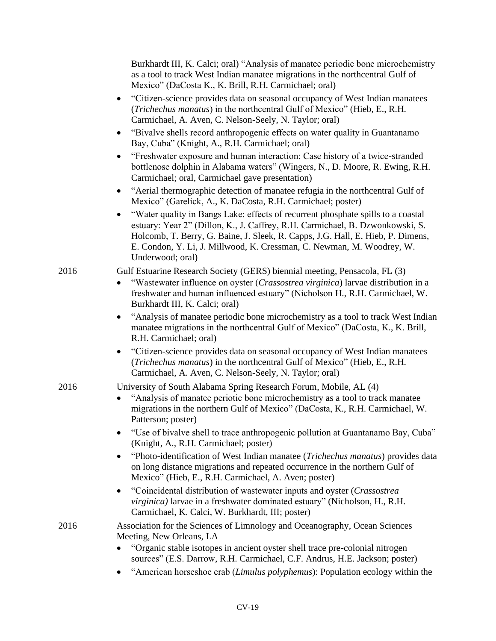Burkhardt III, K. Calci; oral) "Analysis of manatee periodic bone microchemistry as a tool to track West Indian manatee migrations in the northcentral Gulf of Mexico" (DaCosta K., K. Brill, R.H. Carmichael; oral)

- "Citizen-science provides data on seasonal occupancy of West Indian manatees (*Trichechus manatus*) in the northcentral Gulf of Mexico" (Hieb, E., R.H. Carmichael, A. Aven, C. Nelson-Seely, N. Taylor; oral)
- "Bivalve shells record anthropogenic effects on water quality in Guantanamo Bay, Cuba" (Knight, A., R.H. Carmichael; oral)
- "Freshwater exposure and human interaction: Case history of a twice-stranded bottlenose dolphin in Alabama waters" (Wingers, N., D. Moore, R. Ewing, R.H. Carmichael; oral, Carmichael gave presentation)
- "Aerial thermographic detection of manatee refugia in the northcentral Gulf of Mexico" (Garelick, A., K. DaCosta, R.H. Carmichael; poster)
- "Water quality in Bangs Lake: effects of recurrent phosphate spills to a coastal estuary: Year 2" (Dillon, K., J. Caffrey, R.H. Carmichael, B. Dzwonkowski, S. Holcomb, T. Berry, G. Baine, J. Sleek, R. Capps, J.G. Hall, E. Hieb, P. Dimens, E. Condon, Y. Li, J. Millwood, K. Cressman, C. Newman, M. Woodrey, W. Underwood; oral)

2016 Gulf Estuarine Research Society (GERS) biennial meeting, Pensacola, FL (3)

- "Wastewater influence on oyster (*Crassostrea virginica*) larvae distribution in a freshwater and human influenced estuary" (Nicholson H., R.H. Carmichael, W. Burkhardt III, K. Calci; oral)
- "Analysis of manatee periodic bone microchemistry as a tool to track West Indian manatee migrations in the northcentral Gulf of Mexico" (DaCosta, K., K. Brill, R.H. Carmichael; oral)
- "Citizen-science provides data on seasonal occupancy of West Indian manatees (*Trichechus manatus*) in the northcentral Gulf of Mexico" (Hieb, E., R.H. Carmichael, A. Aven, C. Nelson-Seely, N. Taylor; oral)

2016 University of South Alabama Spring Research Forum, Mobile, AL (4)

- "Analysis of manatee periotic bone microchemistry as a tool to track manatee migrations in the northern Gulf of Mexico" (DaCosta, K., R.H. Carmichael, W. Patterson; poster)
- "Use of bivalve shell to trace anthropogenic pollution at Guantanamo Bay, Cuba" (Knight, A., R.H. Carmichael; poster)
- "Photo-identification of West Indian manatee (*Trichechus manatus*) provides data on long distance migrations and repeated occurrence in the northern Gulf of Mexico" (Hieb, E., R.H. Carmichael, A. Aven; poster)
- "Coincidental distribution of wastewater inputs and oyster (*Crassostrea virginica)* larvae in a freshwater dominated estuary" (Nicholson, H., R.H. Carmichael, K. Calci, W. Burkhardt, III; poster)

2016 Association for the Sciences of Limnology and Oceanography, Ocean Sciences Meeting, New Orleans, LA

- "Organic stable isotopes in ancient oyster shell trace pre-colonial nitrogen sources" (E.S. Darrow, R.H. Carmichael, C.F. Andrus, H.E. Jackson; poster)
- "American horseshoe crab (*Limulus polyphemus*): Population ecology within the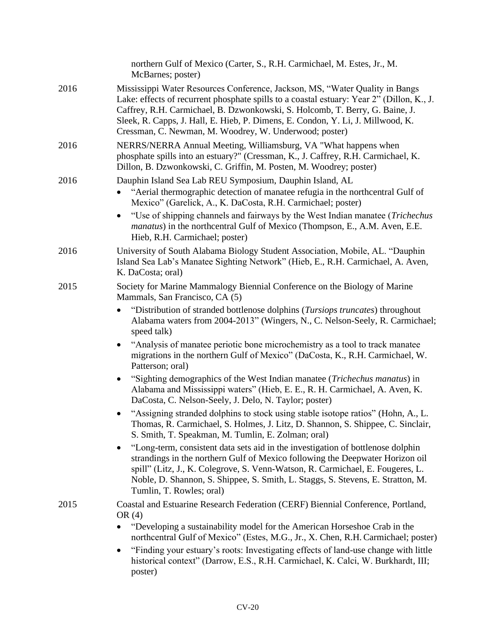|      | northern Gulf of Mexico (Carter, S., R.H. Carmichael, M. Estes, Jr., M.<br>McBarnes; poster)                                                                                                                                                                                                                                                                                                           |
|------|--------------------------------------------------------------------------------------------------------------------------------------------------------------------------------------------------------------------------------------------------------------------------------------------------------------------------------------------------------------------------------------------------------|
| 2016 | Mississippi Water Resources Conference, Jackson, MS, "Water Quality in Bangs<br>Lake: effects of recurrent phosphate spills to a coastal estuary: Year 2" (Dillon, K., J.<br>Caffrey, R.H. Carmichael, B. Dzwonkowski, S. Holcomb, T. Berry, G. Baine, J.<br>Sleek, R. Capps, J. Hall, E. Hieb, P. Dimens, E. Condon, Y. Li, J. Millwood, K.<br>Cressman, C. Newman, M. Woodrey, W. Underwood; poster) |
| 2016 | NERRS/NERRA Annual Meeting, Williamsburg, VA "What happens when<br>phosphate spills into an estuary?" (Cressman, K., J. Caffrey, R.H. Carmichael, K.<br>Dillon, B. Dzwonkowski, C. Griffin, M. Posten, M. Woodrey; poster)                                                                                                                                                                             |
| 2016 | Dauphin Island Sea Lab REU Symposium, Dauphin Island, AL<br>"Aerial thermographic detection of manatee refugia in the northcentral Gulf of<br>Mexico" (Garelick, A., K. DaCosta, R.H. Carmichael; poster)                                                                                                                                                                                              |
|      | "Use of shipping channels and fairways by the West Indian manatee (Trichechus<br>$\bullet$<br><i>manatus</i> ) in the northcentral Gulf of Mexico (Thompson, E., A.M. Aven, E.E.<br>Hieb, R.H. Carmichael; poster)                                                                                                                                                                                     |
| 2016 | University of South Alabama Biology Student Association, Mobile, AL. "Dauphin<br>Island Sea Lab's Manatee Sighting Network" (Hieb, E., R.H. Carmichael, A. Aven,<br>K. DaCosta; oral)                                                                                                                                                                                                                  |
| 2015 | Society for Marine Mammalogy Biennial Conference on the Biology of Marine<br>Mammals, San Francisco, CA (5)                                                                                                                                                                                                                                                                                            |
|      | "Distribution of stranded bottlenose dolphins (Tursiops truncates) throughout<br>$\bullet$<br>Alabama waters from 2004-2013" (Wingers, N., C. Nelson-Seely, R. Carmichael;<br>speed talk)                                                                                                                                                                                                              |
|      | "Analysis of manatee periotic bone microchemistry as a tool to track manatee<br>$\bullet$<br>migrations in the northern Gulf of Mexico" (DaCosta, K., R.H. Carmichael, W.<br>Patterson; oral)                                                                                                                                                                                                          |
|      | "Sighting demographics of the West Indian manatee ( <i>Trichechus manatus</i> ) in<br>Alabama and Mississippi waters" (Hieb, E. E., R. H. Carmichael, A. Aven, K.<br>DaCosta, C. Nelson-Seely, J. Delo, N. Taylor; poster)                                                                                                                                                                             |
|      | "Assigning stranded dolphins to stock using stable isotope ratios" (Hohn, A., L.<br>Thomas, R. Carmichael, S. Holmes, J. Litz, D. Shannon, S. Shippee, C. Sinclair,<br>S. Smith, T. Speakman, M. Tumlin, E. Zolman; oral)                                                                                                                                                                              |
|      | "Long-term, consistent data sets aid in the investigation of bottlenose dolphin<br>٠<br>strandings in the northern Gulf of Mexico following the Deepwater Horizon oil<br>spill" (Litz, J., K. Colegrove, S. Venn-Watson, R. Carmichael, E. Fougeres, L.<br>Noble, D. Shannon, S. Shippee, S. Smith, L. Staggs, S. Stevens, E. Stratton, M.<br>Tumlin, T. Rowles; oral)                                 |
| 2015 | Coastal and Estuarine Research Federation (CERF) Biennial Conference, Portland,<br>OR $(4)$                                                                                                                                                                                                                                                                                                            |
|      | "Developing a sustainability model for the American Horseshoe Crab in the<br>$\bullet$<br>northcentral Gulf of Mexico" (Estes, M.G., Jr., X. Chen, R.H. Carmichael; poster)                                                                                                                                                                                                                            |
|      | "Finding your estuary's roots: Investigating effects of land-use change with little<br>$\bullet$<br>historical context" (Darrow, E.S., R.H. Carmichael, K. Calci, W. Burkhardt, III;<br>poster)                                                                                                                                                                                                        |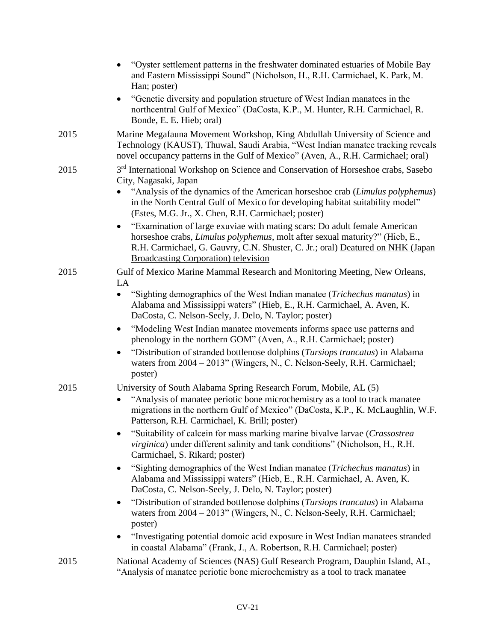|      | "Oyster settlement patterns in the freshwater dominated estuaries of Mobile Bay<br>and Eastern Mississippi Sound" (Nicholson, H., R.H. Carmichael, K. Park, M.<br>Han; poster)                                                                                                                                                                  |
|------|-------------------------------------------------------------------------------------------------------------------------------------------------------------------------------------------------------------------------------------------------------------------------------------------------------------------------------------------------|
|      | "Genetic diversity and population structure of West Indian manatees in the<br>northcentral Gulf of Mexico" (DaCosta, K.P., M. Hunter, R.H. Carmichael, R.<br>Bonde, E. E. Hieb; oral)                                                                                                                                                           |
| 2015 | Marine Megafauna Movement Workshop, King Abdullah University of Science and<br>Technology (KAUST), Thuwal, Saudi Arabia, "West Indian manatee tracking reveals<br>novel occupancy patterns in the Gulf of Mexico" (Aven, A., R.H. Carmichael; oral)                                                                                             |
| 2015 | 3 <sup>rd</sup> International Workshop on Science and Conservation of Horseshoe crabs, Sasebo<br>City, Nagasaki, Japan<br>"Analysis of the dynamics of the American horseshoe crab (Limulus polyphemus)<br>in the North Central Gulf of Mexico for developing habitat suitability model"<br>(Estes, M.G. Jr., X. Chen, R.H. Carmichael; poster) |
|      | "Examination of large exuviae with mating scars: Do adult female American<br>$\bullet$<br>horseshoe crabs, Limulus polyphemus, molt after sexual maturity?" (Hieb, E.,<br>R.H. Carmichael, G. Gauvry, C.N. Shuster, C. Jr.; oral) Deatured on NHK (Japan<br><b>Broadcasting Corporation</b> ) television                                        |
| 2015 | Gulf of Mexico Marine Mammal Research and Monitoring Meeting, New Orleans,<br>LA                                                                                                                                                                                                                                                                |
|      | "Sighting demographics of the West Indian manatee (Trichechus manatus) in<br>Alabama and Mississippi waters" (Hieb, E., R.H. Carmichael, A. Aven, K.<br>DaCosta, C. Nelson-Seely, J. Delo, N. Taylor; poster)                                                                                                                                   |
|      | "Modeling West Indian manatee movements informs space use patterns and<br>$\bullet$<br>phenology in the northern GOM" (Aven, A., R.H. Carmichael; poster)                                                                                                                                                                                       |
|      | "Distribution of stranded bottlenose dolphins (Tursiops truncatus) in Alabama<br>waters from 2004 - 2013" (Wingers, N., C. Nelson-Seely, R.H. Carmichael;<br>poster)                                                                                                                                                                            |
| 2015 | University of South Alabama Spring Research Forum, Mobile, AL (5)<br>"Analysis of manatee periotic bone microchemistry as a tool to track manatee<br>migrations in the northern Gulf of Mexico" (DaCosta, K.P., K. McLaughlin, W.F.<br>Patterson, R.H. Carmichael, K. Brill; poster)                                                            |
|      | "Suitability of calcein for mass marking marine bivalve larvae (Crassostrea<br><i>virginica</i> ) under different salinity and tank conditions" (Nicholson, H., R.H.<br>Carmichael, S. Rikard; poster)                                                                                                                                          |
|      | "Sighting demographics of the West Indian manatee (Trichechus manatus) in<br>Alabama and Mississippi waters" (Hieb, E., R.H. Carmichael, A. Aven, K.<br>DaCosta, C. Nelson-Seely, J. Delo, N. Taylor; poster)                                                                                                                                   |
|      | "Distribution of stranded bottlenose dolphins (Tursiops truncatus) in Alabama<br>$\bullet$<br>waters from 2004 - 2013" (Wingers, N., C. Nelson-Seely, R.H. Carmichael;<br>poster)                                                                                                                                                               |
|      | "Investigating potential domoic acid exposure in West Indian manatees stranded<br>in coastal Alabama" (Frank, J., A. Robertson, R.H. Carmichael; poster)                                                                                                                                                                                        |
| 2015 | National Academy of Sciences (NAS) Gulf Research Program, Dauphin Island, AL,<br>"Analysis of manatee periotic bone microchemistry as a tool to track manatee                                                                                                                                                                                   |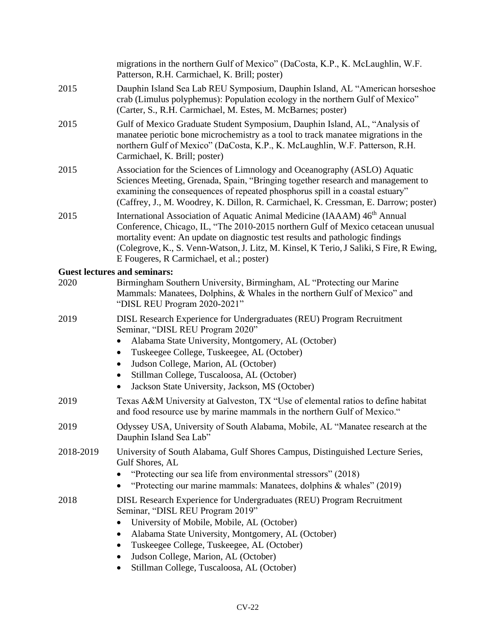|           | migrations in the northern Gulf of Mexico" (DaCosta, K.P., K. McLaughlin, W.F.<br>Patterson, R.H. Carmichael, K. Brill; poster)                                                                                                                                                                                                                                                                                         |
|-----------|-------------------------------------------------------------------------------------------------------------------------------------------------------------------------------------------------------------------------------------------------------------------------------------------------------------------------------------------------------------------------------------------------------------------------|
| 2015      | Dauphin Island Sea Lab REU Symposium, Dauphin Island, AL "American horseshoe<br>crab (Limulus polyphemus): Population ecology in the northern Gulf of Mexico"<br>(Carter, S., R.H. Carmichael, M. Estes, M. McBarnes; poster)                                                                                                                                                                                           |
| 2015      | Gulf of Mexico Graduate Student Symposium, Dauphin Island, AL, "Analysis of<br>manatee periotic bone microchemistry as a tool to track manatee migrations in the<br>northern Gulf of Mexico" (DaCosta, K.P., K. McLaughlin, W.F. Patterson, R.H.<br>Carmichael, K. Brill; poster)                                                                                                                                       |
| 2015      | Association for the Sciences of Limnology and Oceanography (ASLO) Aquatic<br>Sciences Meeting, Grenada, Spain, "Bringing together research and management to<br>examining the consequences of repeated phosphorus spill in a coastal estuary"<br>(Caffrey, J., M. Woodrey, K. Dillon, R. Carmichael, K. Cressman, E. Darrow; poster)                                                                                    |
| 2015      | International Association of Aquatic Animal Medicine (IAAAM) 46 <sup>th</sup> Annual<br>Conference, Chicago, IL, "The 2010-2015 northern Gulf of Mexico cetacean unusual<br>mortality event: An update on diagnostic test results and pathologic findings<br>(Colegrove, K., S. Venn-Watson, J. Litz, M. Kinsel, K Terio, J Saliki, S Fire, R Ewing,<br>E Fougeres, R Carmichael, et al.; poster)                       |
|           | <b>Guest lectures and seminars:</b>                                                                                                                                                                                                                                                                                                                                                                                     |
| 2020      | Birmingham Southern University, Birmingham, AL "Protecting our Marine<br>Mammals: Manatees, Dolphins, & Whales in the northern Gulf of Mexico" and<br>"DISL REU Program 2020-2021"                                                                                                                                                                                                                                      |
| 2019      | DISL Research Experience for Undergraduates (REU) Program Recruitment<br>Seminar, "DISL REU Program 2020"<br>Alabama State University, Montgomery, AL (October)<br>$\bullet$<br>Tuskeegee College, Tuskeegee, AL (October)<br>$\bullet$<br>Judson College, Marion, AL (October)<br>$\bullet$<br>Stillman College, Tuscaloosa, AL (October)<br>$\bullet$<br>Jackson State University, Jackson, MS (October)<br>$\bullet$ |
| 2019      | Texas A&M University at Galveston, TX "Use of elemental ratios to define habitat<br>and food resource use by marine mammals in the northern Gulf of Mexico."                                                                                                                                                                                                                                                            |
| 2019      | Odyssey USA, University of South Alabama, Mobile, AL "Manatee research at the<br>Dauphin Island Sea Lab"                                                                                                                                                                                                                                                                                                                |
| 2018-2019 | University of South Alabama, Gulf Shores Campus, Distinguished Lecture Series,<br>Gulf Shores, AL<br>"Protecting our sea life from environmental stressors" (2018)<br>"Protecting our marine mammals: Manatees, dolphins & whales" (2019)                                                                                                                                                                               |
| 2018      | DISL Research Experience for Undergraduates (REU) Program Recruitment<br>Seminar, "DISL REU Program 2019"<br>University of Mobile, Mobile, AL (October)<br>Alabama State University, Montgomery, AL (October)<br>$\bullet$<br>Tuskeegee College, Tuskeegee, AL (October)<br>$\bullet$<br>Judson College, Marion, AL (October)<br>$\bullet$<br>Stillman College, Tuscaloosa, AL (October)<br>٠                           |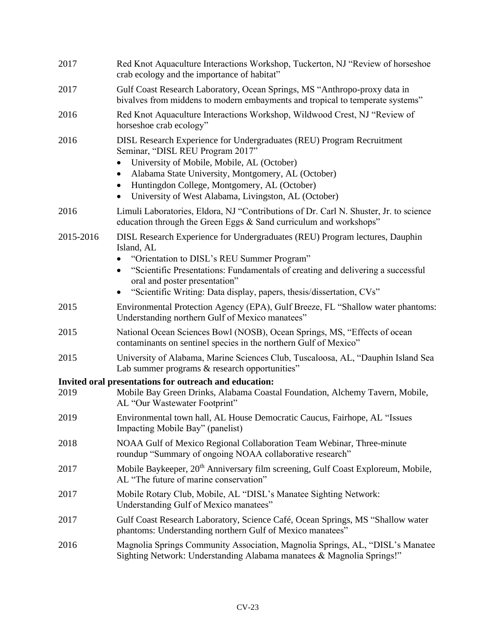| 2017      | Red Knot Aquaculture Interactions Workshop, Tuckerton, NJ "Review of horseshoe<br>crab ecology and the importance of habitat"                                                                                                                                                                                                                                             |
|-----------|---------------------------------------------------------------------------------------------------------------------------------------------------------------------------------------------------------------------------------------------------------------------------------------------------------------------------------------------------------------------------|
| 2017      | Gulf Coast Research Laboratory, Ocean Springs, MS "Anthropo-proxy data in<br>bivalves from middens to modern embayments and tropical to temperate systems"                                                                                                                                                                                                                |
| 2016      | Red Knot Aquaculture Interactions Workshop, Wildwood Crest, NJ "Review of<br>horseshoe crab ecology"                                                                                                                                                                                                                                                                      |
| 2016      | DISL Research Experience for Undergraduates (REU) Program Recruitment<br>Seminar, "DISL REU Program 2017"<br>University of Mobile, Mobile, AL (October)<br>$\bullet$<br>Alabama State University, Montgomery, AL (October)<br>$\bullet$<br>Huntingdon College, Montgomery, AL (October)<br>$\bullet$<br>University of West Alabama, Livingston, AL (October)<br>$\bullet$ |
| 2016      | Limuli Laboratories, Eldora, NJ "Contributions of Dr. Carl N. Shuster, Jr. to science<br>education through the Green Eggs & Sand curriculum and workshops"                                                                                                                                                                                                                |
| 2015-2016 | DISL Research Experience for Undergraduates (REU) Program lectures, Dauphin<br>Island, AL<br>"Orientation to DISL's REU Summer Program"<br>"Scientific Presentations: Fundamentals of creating and delivering a successful<br>$\bullet$<br>oral and poster presentation"<br>"Scientific Writing: Data display, papers, thesis/dissertation, CVs"<br>$\bullet$             |
| 2015      | Environmental Protection Agency (EPA), Gulf Breeze, FL "Shallow water phantoms:<br>Understanding northern Gulf of Mexico manatees"                                                                                                                                                                                                                                        |
| 2015      | National Ocean Sciences Bowl (NOSB), Ocean Springs, MS, "Effects of ocean<br>contaminants on sentinel species in the northern Gulf of Mexico"                                                                                                                                                                                                                             |
| 2015      | University of Alabama, Marine Sciences Club, Tuscaloosa, AL, "Dauphin Island Sea<br>Lab summer programs & research opportunities"                                                                                                                                                                                                                                         |
| 2019      | Invited oral presentations for outreach and education:<br>Mobile Bay Green Drinks, Alabama Coastal Foundation, Alchemy Tavern, Mobile,<br>AL "Our Wastewater Footprint"                                                                                                                                                                                                   |
| 2019      | Environmental town hall, AL House Democratic Caucus, Fairhope, AL "Issues<br>Impacting Mobile Bay" (panelist)                                                                                                                                                                                                                                                             |
| 2018      | NOAA Gulf of Mexico Regional Collaboration Team Webinar, Three-minute<br>roundup "Summary of ongoing NOAA collaborative research"                                                                                                                                                                                                                                         |
| 2017      | Mobile Baykeeper, 20 <sup>th</sup> Anniversary film screening, Gulf Coast Exploreum, Mobile,<br>AL "The future of marine conservation"                                                                                                                                                                                                                                    |
| 2017      | Mobile Rotary Club, Mobile, AL "DISL's Manatee Sighting Network:<br>Understanding Gulf of Mexico manatees"                                                                                                                                                                                                                                                                |
| 2017      | Gulf Coast Research Laboratory, Science Café, Ocean Springs, MS "Shallow water<br>phantoms: Understanding northern Gulf of Mexico manatees"                                                                                                                                                                                                                               |
| 2016      | Magnolia Springs Community Association, Magnolia Springs, AL, "DISL's Manatee<br>Sighting Network: Understanding Alabama manatees & Magnolia Springs!"                                                                                                                                                                                                                    |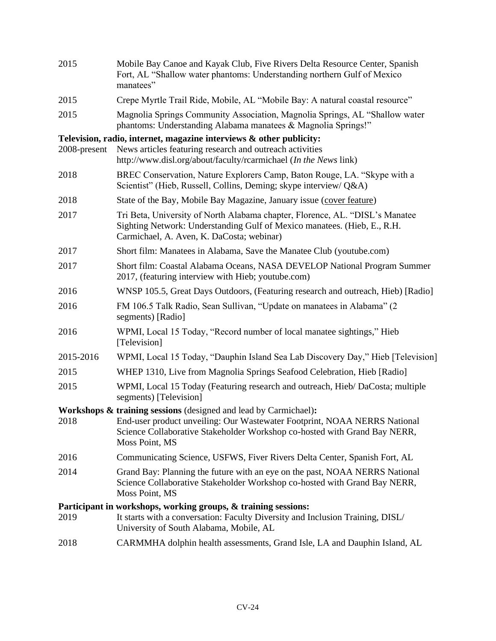| 2015         | Mobile Bay Canoe and Kayak Club, Five Rivers Delta Resource Center, Spanish<br>Fort, AL "Shallow water phantoms: Understanding northern Gulf of Mexico<br>manatees"                                   |
|--------------|-------------------------------------------------------------------------------------------------------------------------------------------------------------------------------------------------------|
| 2015         | Crepe Myrtle Trail Ride, Mobile, AL "Mobile Bay: A natural coastal resource"                                                                                                                          |
| 2015         | Magnolia Springs Community Association, Magnolia Springs, AL "Shallow water<br>phantoms: Understanding Alabama manatees & Magnolia Springs!"                                                          |
|              | Television, radio, internet, magazine interviews & other publicity:                                                                                                                                   |
| 2008-present | News articles featuring research and outreach activities<br>http://www.disl.org/about/faculty/rcarmichael (In the News link)                                                                          |
| 2018         | BREC Conservation, Nature Explorers Camp, Baton Rouge, LA. "Skype with a<br>Scientist" (Hieb, Russell, Collins, Deming; skype interview/ Q&A)                                                         |
| 2018         | State of the Bay, Mobile Bay Magazine, January issue (cover feature)                                                                                                                                  |
| 2017         | Tri Beta, University of North Alabama chapter, Florence, AL. "DISL's Manatee<br>Sighting Network: Understanding Gulf of Mexico manatees. (Hieb, E., R.H.<br>Carmichael, A. Aven, K. DaCosta; webinar) |
| 2017         | Short film: Manatees in Alabama, Save the Manatee Club (youtube.com)                                                                                                                                  |
| 2017         | Short film: Coastal Alabama Oceans, NASA DEVELOP National Program Summer<br>2017, (featuring interview with Hieb; youtube.com)                                                                        |
| 2016         | WNSP 105.5, Great Days Outdoors, (Featuring research and outreach, Hieb) [Radio]                                                                                                                      |
| 2016         | FM 106.5 Talk Radio, Sean Sullivan, "Update on manatees in Alabama" (2)<br>segments) [Radio]                                                                                                          |
| 2016         | WPMI, Local 15 Today, "Record number of local manatee sightings," Hieb<br>[Television]                                                                                                                |
| 2015-2016    | WPMI, Local 15 Today, "Dauphin Island Sea Lab Discovery Day," Hieb [Television]                                                                                                                       |
| 2015         | WHEP 1310, Live from Magnolia Springs Seafood Celebration, Hieb [Radio]                                                                                                                               |
| 2015         | WPMI, Local 15 Today (Featuring research and outreach, Hieb/DaCosta; multiple<br>segments) [Television]                                                                                               |
|              | Workshops & training sessions (designed and lead by Carmichael):                                                                                                                                      |
| 2018         | End-user product unveiling: Our Wastewater Footprint, NOAA NERRS National<br>Science Collaborative Stakeholder Workshop co-hosted with Grand Bay NERR,<br>Moss Point, MS                              |
| 2016         | Communicating Science, USFWS, Fiver Rivers Delta Center, Spanish Fort, AL                                                                                                                             |
| 2014         | Grand Bay: Planning the future with an eye on the past, NOAA NERRS National<br>Science Collaborative Stakeholder Workshop co-hosted with Grand Bay NERR,<br>Moss Point, MS                            |
|              | Participant in workshops, working groups, & training sessions:                                                                                                                                        |
| 2019         | It starts with a conversation: Faculty Diversity and Inclusion Training, DISL/<br>University of South Alabama, Mobile, AL                                                                             |
| 2018         | CARMMHA dolphin health assessments, Grand Isle, LA and Dauphin Island, AL                                                                                                                             |